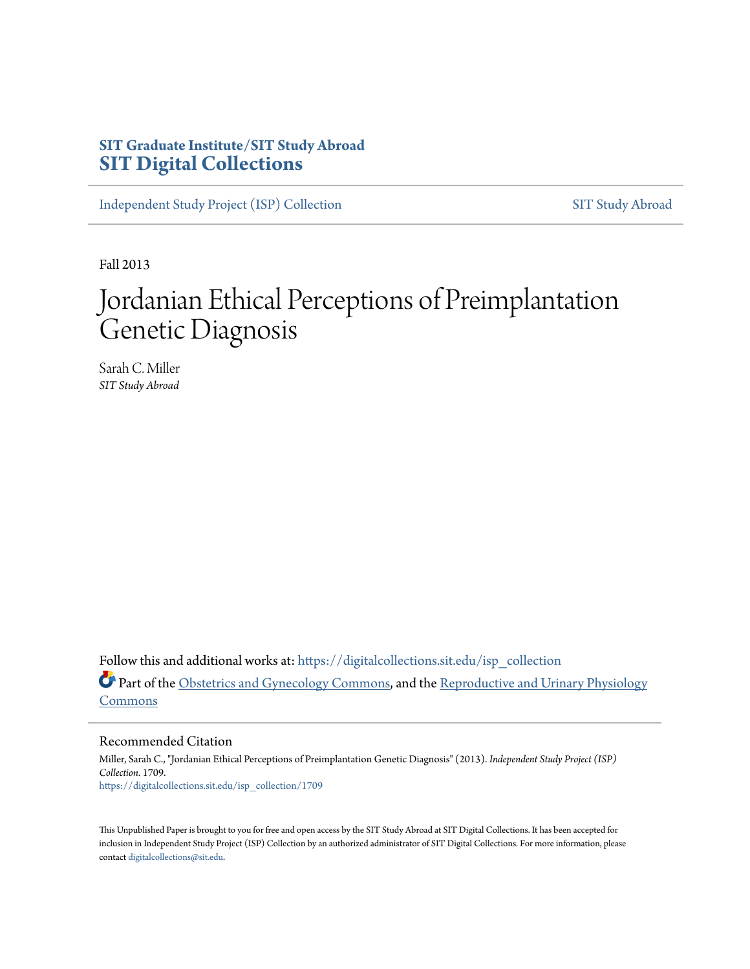# **SIT Graduate Institute/SIT Study Abroad [SIT Digital Collections](https://digitalcollections.sit.edu?utm_source=digitalcollections.sit.edu%2Fisp_collection%2F1709&utm_medium=PDF&utm_campaign=PDFCoverPages)**

[Independent Study Project \(ISP\) Collection](https://digitalcollections.sit.edu/isp_collection?utm_source=digitalcollections.sit.edu%2Fisp_collection%2F1709&utm_medium=PDF&utm_campaign=PDFCoverPages) [SIT Study Abroad](https://digitalcollections.sit.edu/study_abroad?utm_source=digitalcollections.sit.edu%2Fisp_collection%2F1709&utm_medium=PDF&utm_campaign=PDFCoverPages)

Fall 2013

# Jordanian Ethical Perceptions of Preimplantation Genetic Diagnosis

Sarah C. Miller *SIT Study Abroad*

Follow this and additional works at: [https://digitalcollections.sit.edu/isp\\_collection](https://digitalcollections.sit.edu/isp_collection?utm_source=digitalcollections.sit.edu%2Fisp_collection%2F1709&utm_medium=PDF&utm_campaign=PDFCoverPages) Part of the [Obstetrics and Gynecology Commons,](http://network.bepress.com/hgg/discipline/693?utm_source=digitalcollections.sit.edu%2Fisp_collection%2F1709&utm_medium=PDF&utm_campaign=PDFCoverPages) and the [Reproductive and Urinary Physiology](http://network.bepress.com/hgg/discipline/1001?utm_source=digitalcollections.sit.edu%2Fisp_collection%2F1709&utm_medium=PDF&utm_campaign=PDFCoverPages) [Commons](http://network.bepress.com/hgg/discipline/1001?utm_source=digitalcollections.sit.edu%2Fisp_collection%2F1709&utm_medium=PDF&utm_campaign=PDFCoverPages)

Recommended Citation

Miller, Sarah C., "Jordanian Ethical Perceptions of Preimplantation Genetic Diagnosis" (2013). *Independent Study Project (ISP) Collection*. 1709. [https://digitalcollections.sit.edu/isp\\_collection/1709](https://digitalcollections.sit.edu/isp_collection/1709?utm_source=digitalcollections.sit.edu%2Fisp_collection%2F1709&utm_medium=PDF&utm_campaign=PDFCoverPages)

This Unpublished Paper is brought to you for free and open access by the SIT Study Abroad at SIT Digital Collections. It has been accepted for inclusion in Independent Study Project (ISP) Collection by an authorized administrator of SIT Digital Collections. For more information, please contact [digitalcollections@sit.edu](mailto:digitalcollections@sit.edu).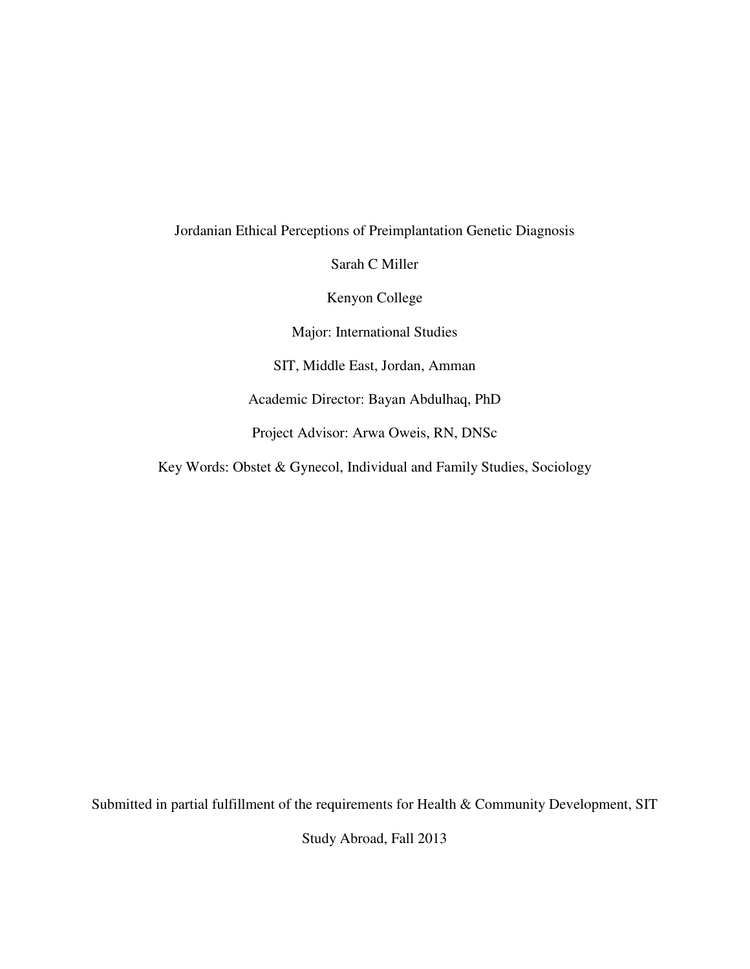Jordanian Ethical Perceptions of Preimplantation Genetic Diagnosis

Sarah C Miller

Kenyon College

Major: International Studies

SIT, Middle East, Jordan, Amman

Academic Director: Bayan Abdulhaq, PhD

Project Advisor: Arwa Oweis, RN, DNSc

Key Words: Obstet & Gynecol, Individual and Family Studies, Sociology

Submitted in partial fulfillment of the requirements for Health & Community Development, SIT

Study Abroad, Fall 2013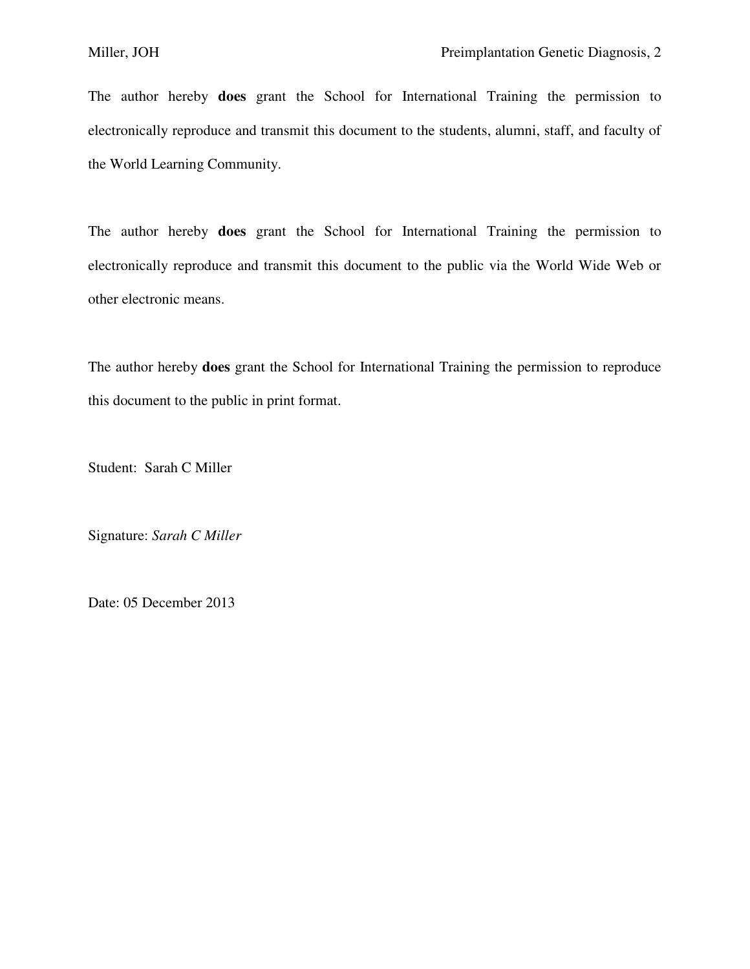The author hereby **does** grant the School for International Training the permission to electronically reproduce and transmit this document to the students, alumni, staff, and faculty of the World Learning Community.

The author hereby **does** grant the School for International Training the permission to electronically reproduce and transmit this document to the public via the World Wide Web or other electronic means.

The author hereby **does** grant the School for International Training the permission to reproduce this document to the public in print format.

Student: Sarah C Miller

Signature: *Sarah C Miller* 

Date: 05 December 2013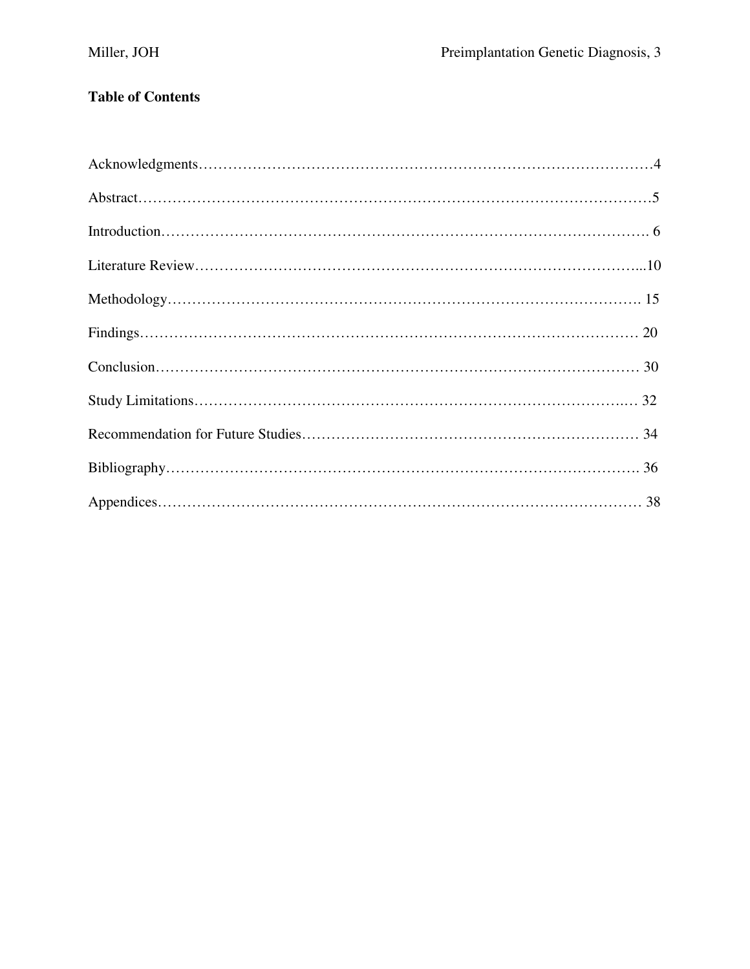# **Table of Contents**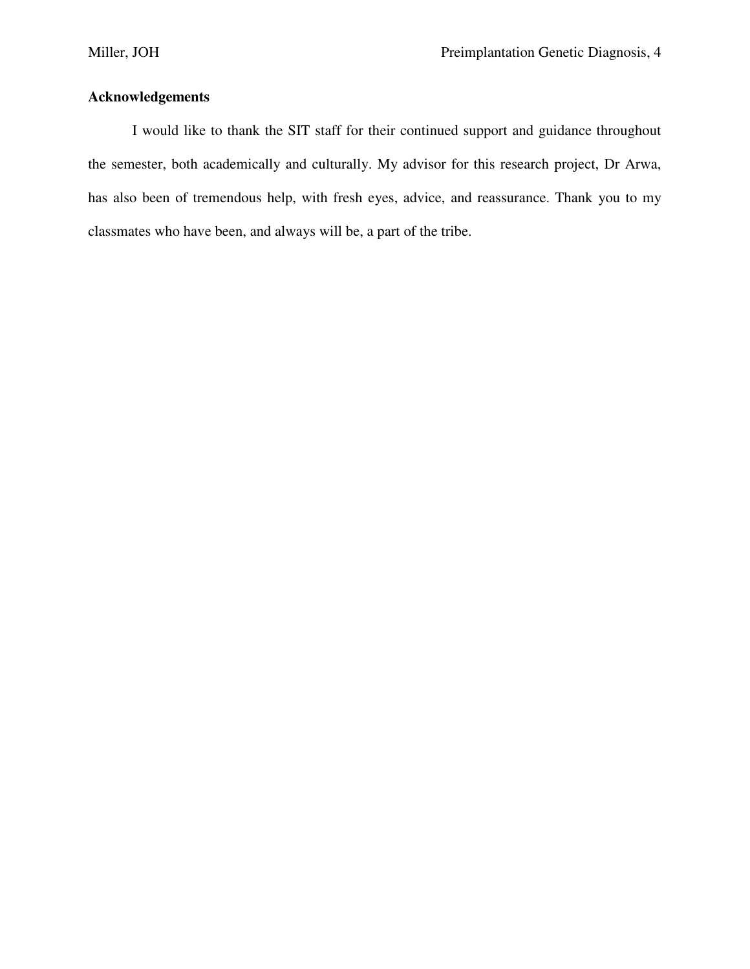# **Acknowledgements**

 I would like to thank the SIT staff for their continued support and guidance throughout the semester, both academically and culturally. My advisor for this research project, Dr Arwa, has also been of tremendous help, with fresh eyes, advice, and reassurance. Thank you to my classmates who have been, and always will be, a part of the tribe.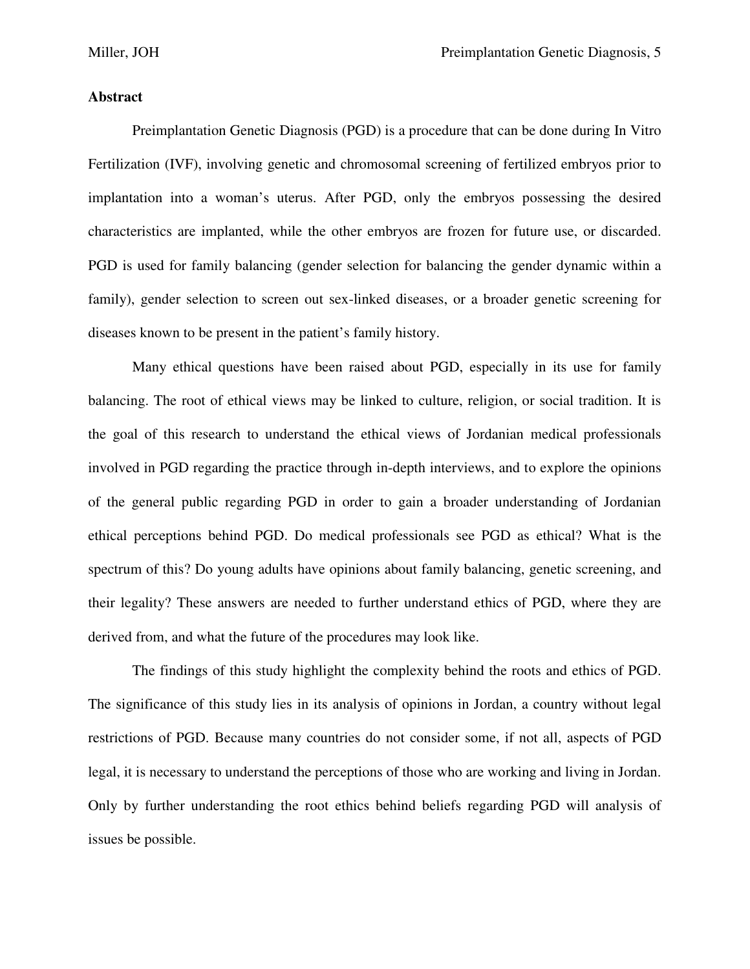## **Abstract**

 Preimplantation Genetic Diagnosis (PGD) is a procedure that can be done during In Vitro Fertilization (IVF), involving genetic and chromosomal screening of fertilized embryos prior to implantation into a woman's uterus. After PGD, only the embryos possessing the desired characteristics are implanted, while the other embryos are frozen for future use, or discarded. PGD is used for family balancing (gender selection for balancing the gender dynamic within a family), gender selection to screen out sex-linked diseases, or a broader genetic screening for diseases known to be present in the patient's family history.

 Many ethical questions have been raised about PGD, especially in its use for family balancing. The root of ethical views may be linked to culture, religion, or social tradition. It is the goal of this research to understand the ethical views of Jordanian medical professionals involved in PGD regarding the practice through in-depth interviews, and to explore the opinions of the general public regarding PGD in order to gain a broader understanding of Jordanian ethical perceptions behind PGD. Do medical professionals see PGD as ethical? What is the spectrum of this? Do young adults have opinions about family balancing, genetic screening, and their legality? These answers are needed to further understand ethics of PGD, where they are derived from, and what the future of the procedures may look like.

 The findings of this study highlight the complexity behind the roots and ethics of PGD. The significance of this study lies in its analysis of opinions in Jordan, a country without legal restrictions of PGD. Because many countries do not consider some, if not all, aspects of PGD legal, it is necessary to understand the perceptions of those who are working and living in Jordan. Only by further understanding the root ethics behind beliefs regarding PGD will analysis of issues be possible.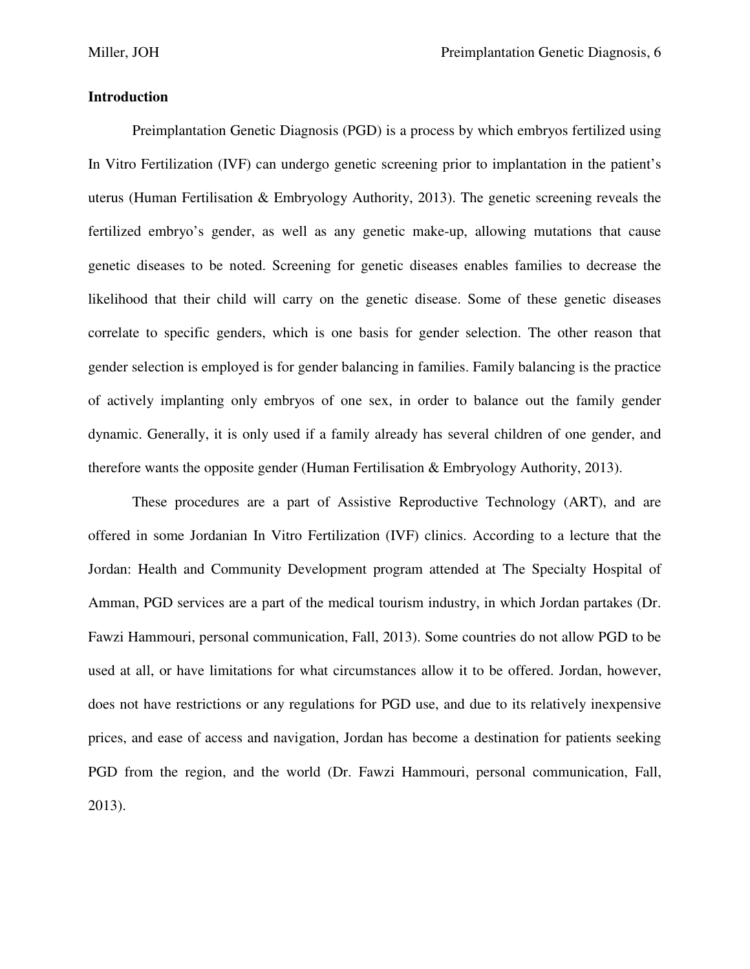## **Introduction**

 Preimplantation Genetic Diagnosis (PGD) is a process by which embryos fertilized using In Vitro Fertilization (IVF) can undergo genetic screening prior to implantation in the patient's uterus (Human Fertilisation & Embryology Authority, 2013). The genetic screening reveals the fertilized embryo's gender, as well as any genetic make-up, allowing mutations that cause genetic diseases to be noted. Screening for genetic diseases enables families to decrease the likelihood that their child will carry on the genetic disease. Some of these genetic diseases correlate to specific genders, which is one basis for gender selection. The other reason that gender selection is employed is for gender balancing in families. Family balancing is the practice of actively implanting only embryos of one sex, in order to balance out the family gender dynamic. Generally, it is only used if a family already has several children of one gender, and therefore wants the opposite gender (Human Fertilisation & Embryology Authority, 2013).

 These procedures are a part of Assistive Reproductive Technology (ART), and are offered in some Jordanian In Vitro Fertilization (IVF) clinics. According to a lecture that the Jordan: Health and Community Development program attended at The Specialty Hospital of Amman, PGD services are a part of the medical tourism industry, in which Jordan partakes (Dr. Fawzi Hammouri, personal communication, Fall, 2013). Some countries do not allow PGD to be used at all, or have limitations for what circumstances allow it to be offered. Jordan, however, does not have restrictions or any regulations for PGD use, and due to its relatively inexpensive prices, and ease of access and navigation, Jordan has become a destination for patients seeking PGD from the region, and the world (Dr. Fawzi Hammouri, personal communication, Fall, 2013).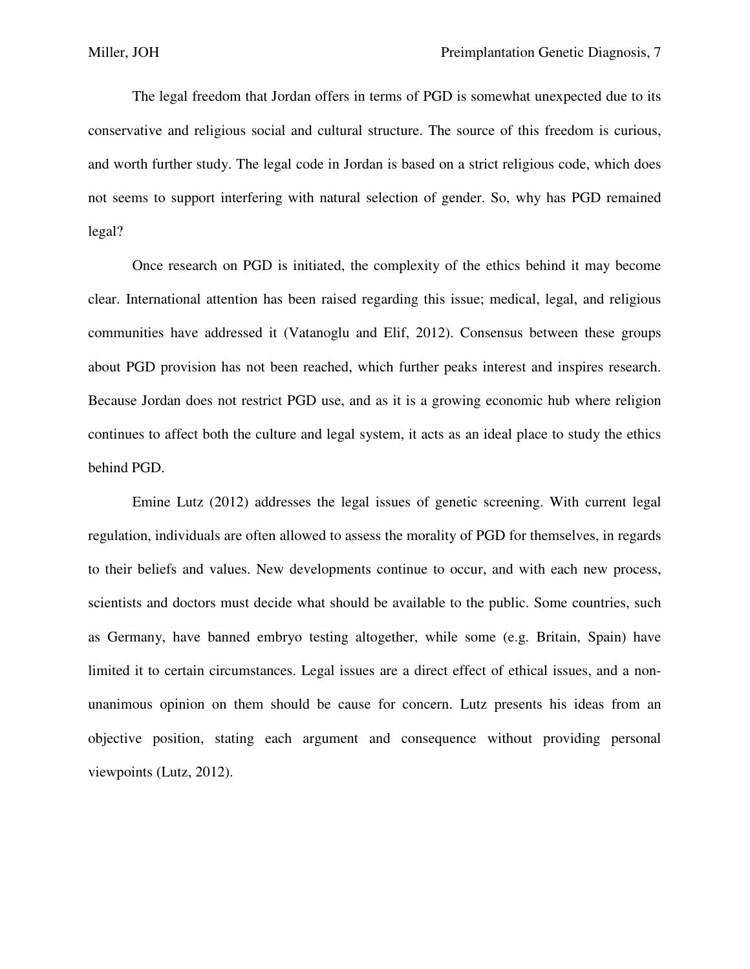The legal freedom that Jordan offers in terms of PGD is somewhat unexpected due to its conservative and religious social and cultural structure. The source of this freedom is curious, and worth further study. The legal code in Jordan is based on a strict religious code, which does not seems to support interfering with natural selection of gender. So, why has PGD remained legal?

 Once research on PGD is initiated, the complexity of the ethics behind it may become clear. International attention has been raised regarding this issue; medical, legal, and religious communities have addressed it (Vatanoglu and Elif, 2012). Consensus between these groups about PGD provision has not been reached, which further peaks interest and inspires research. Because Jordan does not restrict PGD use, and as it is a growing economic hub where religion continues to affect both the culture and legal system, it acts as an ideal place to study the ethics behind PGD.

 Emine Lutz (2012) addresses the legal issues of genetic screening. With current legal regulation, individuals are often allowed to assess the morality of PGD for themselves, in regards to their beliefs and values. New developments continue to occur, and with each new process, scientists and doctors must decide what should be available to the public. Some countries, such as Germany, have banned embryo testing altogether, while some (e.g. Britain, Spain) have limited it to certain circumstances. Legal issues are a direct effect of ethical issues, and a nonunanimous opinion on them should be cause for concern. Lutz presents his ideas from an objective position, stating each argument and consequence without providing personal viewpoints (Lutz, 2012).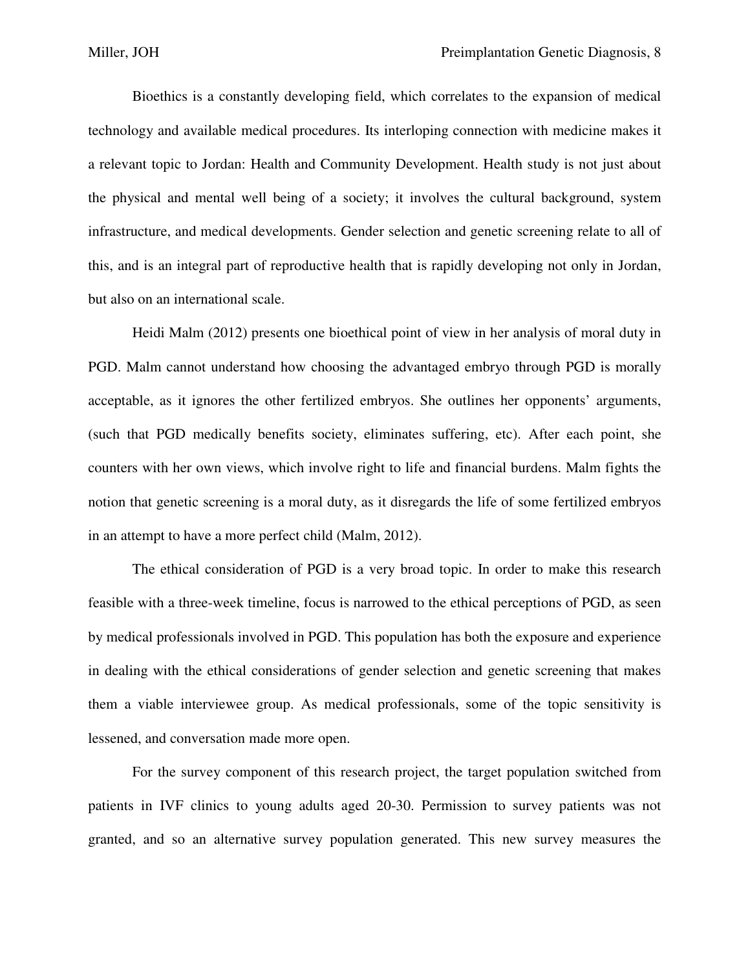Bioethics is a constantly developing field, which correlates to the expansion of medical technology and available medical procedures. Its interloping connection with medicine makes it a relevant topic to Jordan: Health and Community Development. Health study is not just about the physical and mental well being of a society; it involves the cultural background, system infrastructure, and medical developments. Gender selection and genetic screening relate to all of this, and is an integral part of reproductive health that is rapidly developing not only in Jordan, but also on an international scale.

 Heidi Malm (2012) presents one bioethical point of view in her analysis of moral duty in PGD. Malm cannot understand how choosing the advantaged embryo through PGD is morally acceptable, as it ignores the other fertilized embryos. She outlines her opponents' arguments, (such that PGD medically benefits society, eliminates suffering, etc). After each point, she counters with her own views, which involve right to life and financial burdens. Malm fights the notion that genetic screening is a moral duty, as it disregards the life of some fertilized embryos in an attempt to have a more perfect child (Malm, 2012).

 The ethical consideration of PGD is a very broad topic. In order to make this research feasible with a three-week timeline, focus is narrowed to the ethical perceptions of PGD, as seen by medical professionals involved in PGD. This population has both the exposure and experience in dealing with the ethical considerations of gender selection and genetic screening that makes them a viable interviewee group. As medical professionals, some of the topic sensitivity is lessened, and conversation made more open.

 For the survey component of this research project, the target population switched from patients in IVF clinics to young adults aged 20-30. Permission to survey patients was not granted, and so an alternative survey population generated. This new survey measures the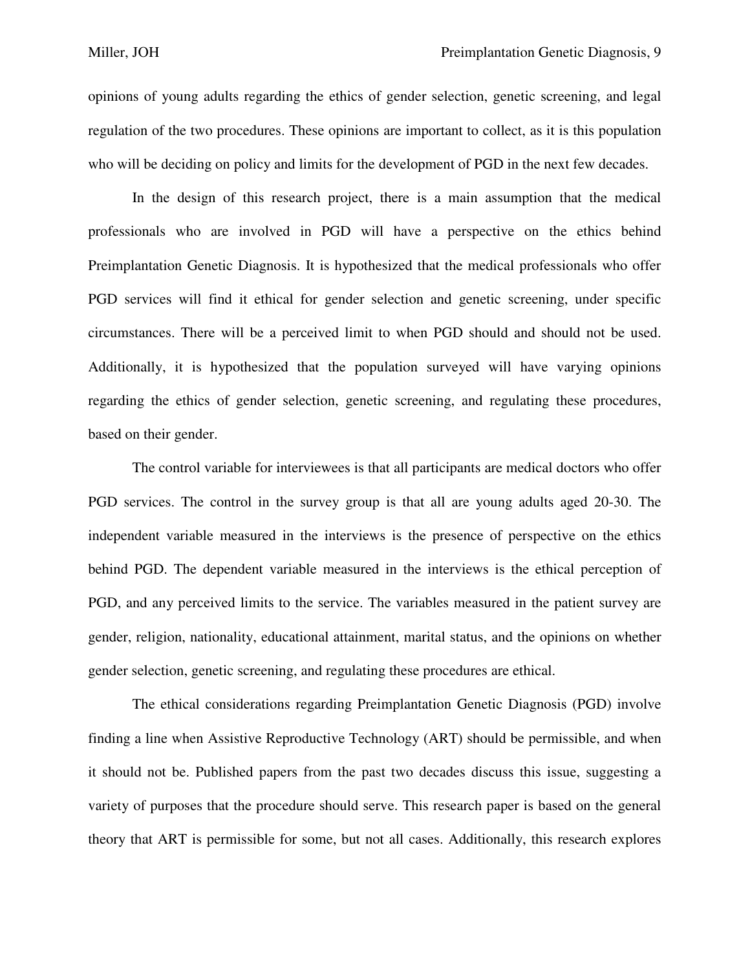opinions of young adults regarding the ethics of gender selection, genetic screening, and legal regulation of the two procedures. These opinions are important to collect, as it is this population who will be deciding on policy and limits for the development of PGD in the next few decades.

 In the design of this research project, there is a main assumption that the medical professionals who are involved in PGD will have a perspective on the ethics behind Preimplantation Genetic Diagnosis. It is hypothesized that the medical professionals who offer PGD services will find it ethical for gender selection and genetic screening, under specific circumstances. There will be a perceived limit to when PGD should and should not be used. Additionally, it is hypothesized that the population surveyed will have varying opinions regarding the ethics of gender selection, genetic screening, and regulating these procedures, based on their gender.

 The control variable for interviewees is that all participants are medical doctors who offer PGD services. The control in the survey group is that all are young adults aged 20-30. The independent variable measured in the interviews is the presence of perspective on the ethics behind PGD. The dependent variable measured in the interviews is the ethical perception of PGD, and any perceived limits to the service. The variables measured in the patient survey are gender, religion, nationality, educational attainment, marital status, and the opinions on whether gender selection, genetic screening, and regulating these procedures are ethical.

 The ethical considerations regarding Preimplantation Genetic Diagnosis (PGD) involve finding a line when Assistive Reproductive Technology (ART) should be permissible, and when it should not be. Published papers from the past two decades discuss this issue, suggesting a variety of purposes that the procedure should serve. This research paper is based on the general theory that ART is permissible for some, but not all cases. Additionally, this research explores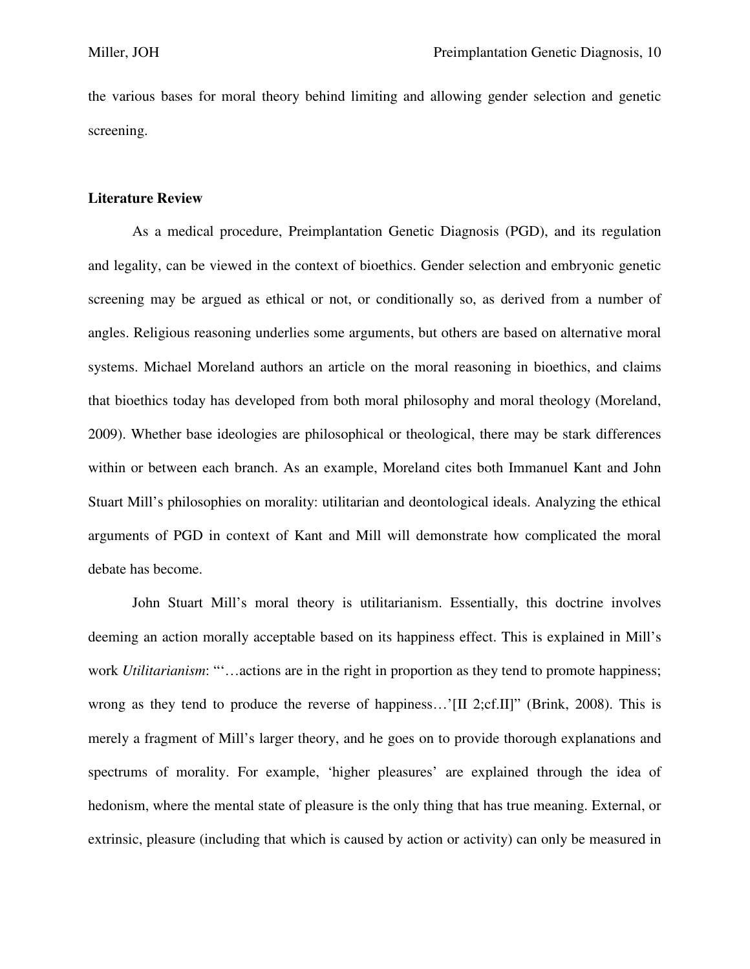the various bases for moral theory behind limiting and allowing gender selection and genetic screening.

#### **Literature Review**

As a medical procedure, Preimplantation Genetic Diagnosis (PGD), and its regulation and legality, can be viewed in the context of bioethics. Gender selection and embryonic genetic screening may be argued as ethical or not, or conditionally so, as derived from a number of angles. Religious reasoning underlies some arguments, but others are based on alternative moral systems. Michael Moreland authors an article on the moral reasoning in bioethics, and claims that bioethics today has developed from both moral philosophy and moral theology (Moreland, 2009). Whether base ideologies are philosophical or theological, there may be stark differences within or between each branch. As an example, Moreland cites both Immanuel Kant and John Stuart Mill's philosophies on morality: utilitarian and deontological ideals. Analyzing the ethical arguments of PGD in context of Kant and Mill will demonstrate how complicated the moral debate has become.

 John Stuart Mill's moral theory is utilitarianism. Essentially, this doctrine involves deeming an action morally acceptable based on its happiness effect. This is explained in Mill's work *Utilitarianism*: ""...actions are in the right in proportion as they tend to promote happiness; wrong as they tend to produce the reverse of happiness...'[II 2;cf.II]" (Brink, 2008). This is merely a fragment of Mill's larger theory, and he goes on to provide thorough explanations and spectrums of morality. For example, 'higher pleasures' are explained through the idea of hedonism, where the mental state of pleasure is the only thing that has true meaning. External, or extrinsic, pleasure (including that which is caused by action or activity) can only be measured in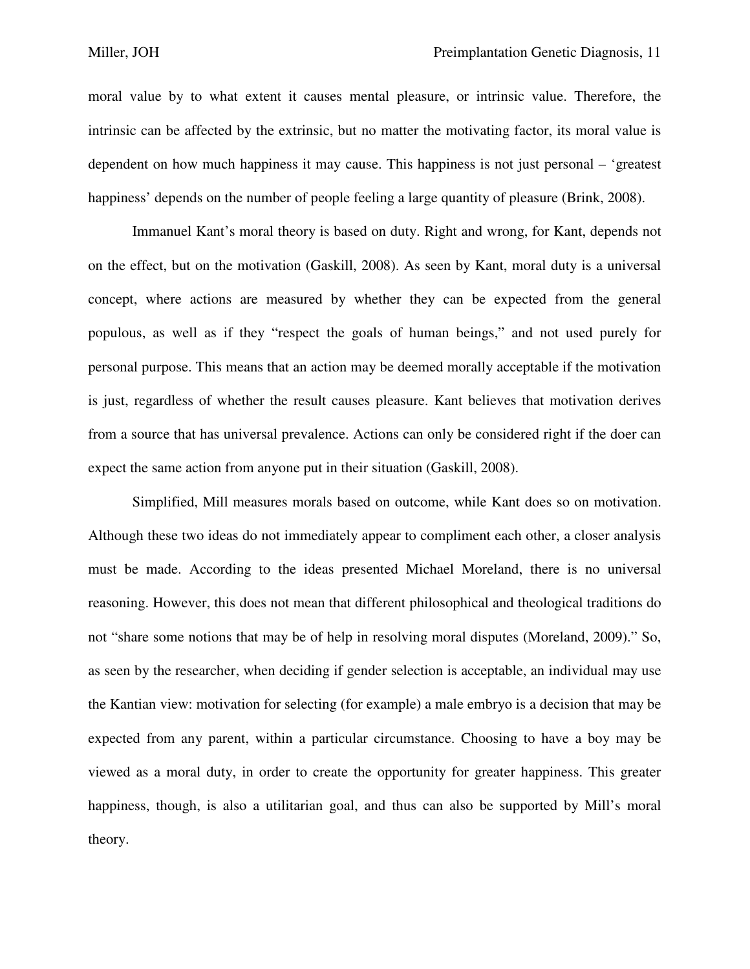moral value by to what extent it causes mental pleasure, or intrinsic value. Therefore, the intrinsic can be affected by the extrinsic, but no matter the motivating factor, its moral value is dependent on how much happiness it may cause. This happiness is not just personal – 'greatest happiness' depends on the number of people feeling a large quantity of pleasure (Brink, 2008).

 Immanuel Kant's moral theory is based on duty. Right and wrong, for Kant, depends not on the effect, but on the motivation (Gaskill, 2008). As seen by Kant, moral duty is a universal concept, where actions are measured by whether they can be expected from the general populous, as well as if they "respect the goals of human beings," and not used purely for personal purpose. This means that an action may be deemed morally acceptable if the motivation is just, regardless of whether the result causes pleasure. Kant believes that motivation derives from a source that has universal prevalence. Actions can only be considered right if the doer can expect the same action from anyone put in their situation (Gaskill, 2008).

 Simplified, Mill measures morals based on outcome, while Kant does so on motivation. Although these two ideas do not immediately appear to compliment each other, a closer analysis must be made. According to the ideas presented Michael Moreland, there is no universal reasoning. However, this does not mean that different philosophical and theological traditions do not "share some notions that may be of help in resolving moral disputes (Moreland, 2009)." So, as seen by the researcher, when deciding if gender selection is acceptable, an individual may use the Kantian view: motivation for selecting (for example) a male embryo is a decision that may be expected from any parent, within a particular circumstance. Choosing to have a boy may be viewed as a moral duty, in order to create the opportunity for greater happiness. This greater happiness, though, is also a utilitarian goal, and thus can also be supported by Mill's moral theory.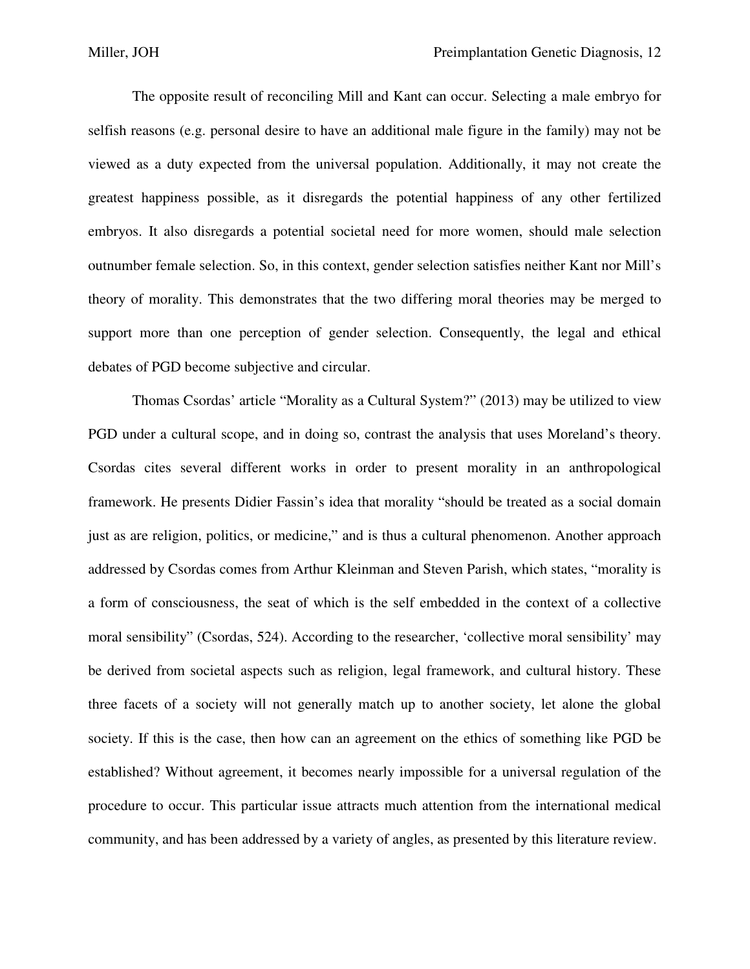The opposite result of reconciling Mill and Kant can occur. Selecting a male embryo for selfish reasons (e.g. personal desire to have an additional male figure in the family) may not be viewed as a duty expected from the universal population. Additionally, it may not create the greatest happiness possible, as it disregards the potential happiness of any other fertilized embryos. It also disregards a potential societal need for more women, should male selection outnumber female selection. So, in this context, gender selection satisfies neither Kant nor Mill's theory of morality. This demonstrates that the two differing moral theories may be merged to support more than one perception of gender selection. Consequently, the legal and ethical debates of PGD become subjective and circular.

 Thomas Csordas' article "Morality as a Cultural System?" (2013) may be utilized to view PGD under a cultural scope, and in doing so, contrast the analysis that uses Moreland's theory. Csordas cites several different works in order to present morality in an anthropological framework. He presents Didier Fassin's idea that morality "should be treated as a social domain just as are religion, politics, or medicine," and is thus a cultural phenomenon. Another approach addressed by Csordas comes from Arthur Kleinman and Steven Parish, which states, "morality is a form of consciousness, the seat of which is the self embedded in the context of a collective moral sensibility" (Csordas, 524). According to the researcher, 'collective moral sensibility' may be derived from societal aspects such as religion, legal framework, and cultural history. These three facets of a society will not generally match up to another society, let alone the global society. If this is the case, then how can an agreement on the ethics of something like PGD be established? Without agreement, it becomes nearly impossible for a universal regulation of the procedure to occur. This particular issue attracts much attention from the international medical community, and has been addressed by a variety of angles, as presented by this literature review.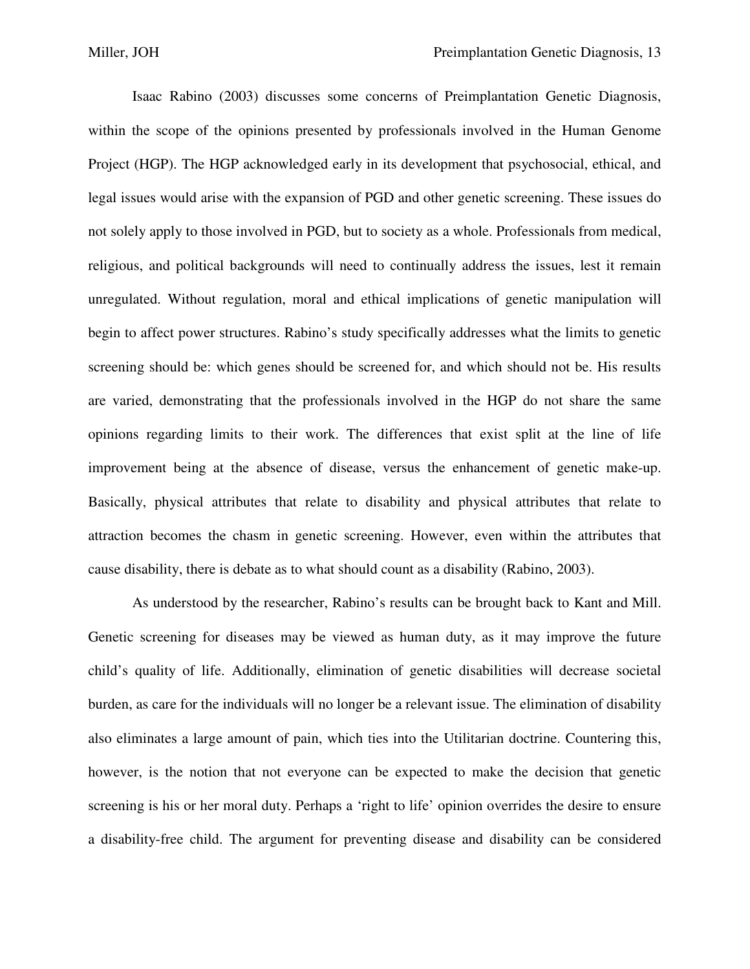Isaac Rabino (2003) discusses some concerns of Preimplantation Genetic Diagnosis, within the scope of the opinions presented by professionals involved in the Human Genome Project (HGP). The HGP acknowledged early in its development that psychosocial, ethical, and legal issues would arise with the expansion of PGD and other genetic screening. These issues do not solely apply to those involved in PGD, but to society as a whole. Professionals from medical, religious, and political backgrounds will need to continually address the issues, lest it remain unregulated. Without regulation, moral and ethical implications of genetic manipulation will begin to affect power structures. Rabino's study specifically addresses what the limits to genetic screening should be: which genes should be screened for, and which should not be. His results are varied, demonstrating that the professionals involved in the HGP do not share the same opinions regarding limits to their work. The differences that exist split at the line of life improvement being at the absence of disease, versus the enhancement of genetic make-up. Basically, physical attributes that relate to disability and physical attributes that relate to attraction becomes the chasm in genetic screening. However, even within the attributes that cause disability, there is debate as to what should count as a disability (Rabino, 2003).

 As understood by the researcher, Rabino's results can be brought back to Kant and Mill. Genetic screening for diseases may be viewed as human duty, as it may improve the future child's quality of life. Additionally, elimination of genetic disabilities will decrease societal burden, as care for the individuals will no longer be a relevant issue. The elimination of disability also eliminates a large amount of pain, which ties into the Utilitarian doctrine. Countering this, however, is the notion that not everyone can be expected to make the decision that genetic screening is his or her moral duty. Perhaps a 'right to life' opinion overrides the desire to ensure a disability-free child. The argument for preventing disease and disability can be considered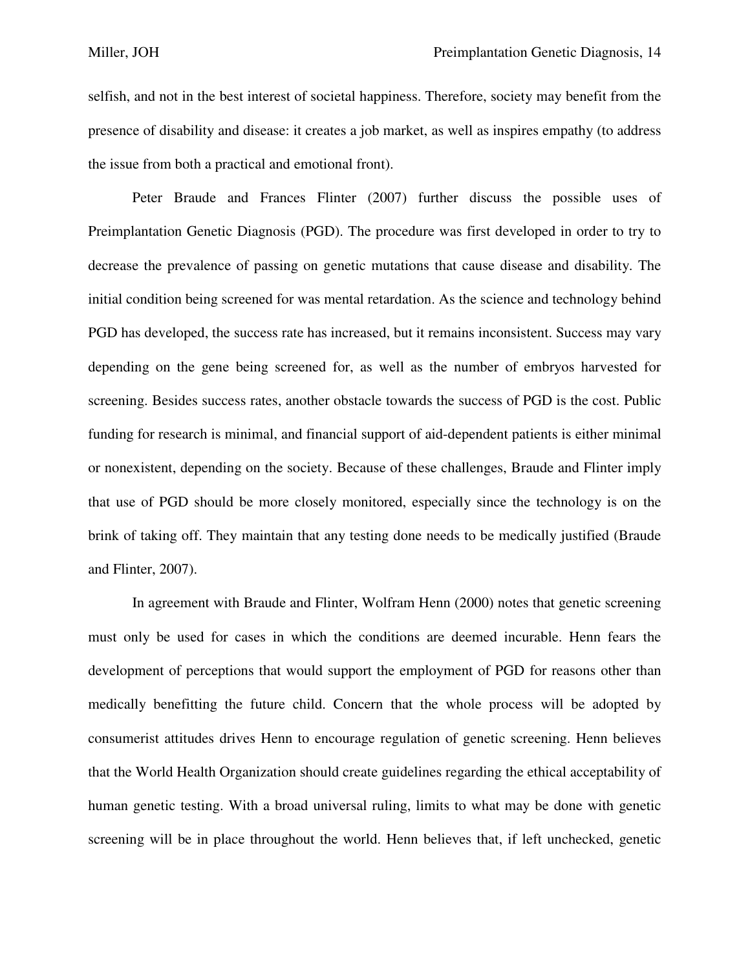selfish, and not in the best interest of societal happiness. Therefore, society may benefit from the presence of disability and disease: it creates a job market, as well as inspires empathy (to address the issue from both a practical and emotional front).

 Peter Braude and Frances Flinter (2007) further discuss the possible uses of Preimplantation Genetic Diagnosis (PGD). The procedure was first developed in order to try to decrease the prevalence of passing on genetic mutations that cause disease and disability. The initial condition being screened for was mental retardation. As the science and technology behind PGD has developed, the success rate has increased, but it remains inconsistent. Success may vary depending on the gene being screened for, as well as the number of embryos harvested for screening. Besides success rates, another obstacle towards the success of PGD is the cost. Public funding for research is minimal, and financial support of aid-dependent patients is either minimal or nonexistent, depending on the society. Because of these challenges, Braude and Flinter imply that use of PGD should be more closely monitored, especially since the technology is on the brink of taking off. They maintain that any testing done needs to be medically justified (Braude and Flinter, 2007).

 In agreement with Braude and Flinter, Wolfram Henn (2000) notes that genetic screening must only be used for cases in which the conditions are deemed incurable. Henn fears the development of perceptions that would support the employment of PGD for reasons other than medically benefitting the future child. Concern that the whole process will be adopted by consumerist attitudes drives Henn to encourage regulation of genetic screening. Henn believes that the World Health Organization should create guidelines regarding the ethical acceptability of human genetic testing. With a broad universal ruling, limits to what may be done with genetic screening will be in place throughout the world. Henn believes that, if left unchecked, genetic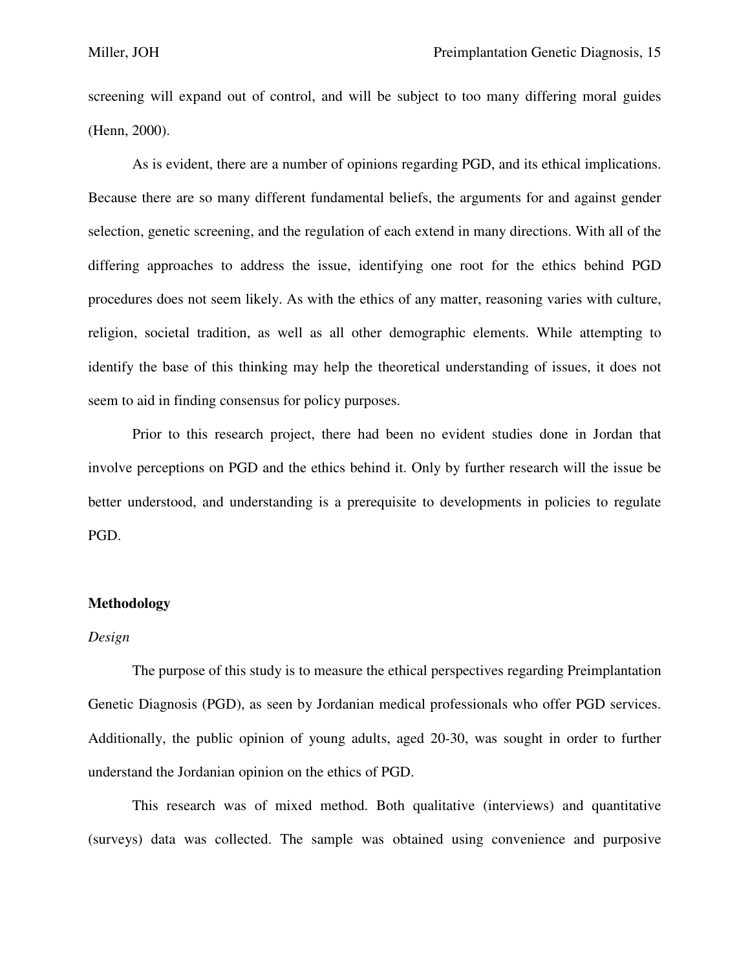screening will expand out of control, and will be subject to too many differing moral guides (Henn, 2000).

 As is evident, there are a number of opinions regarding PGD, and its ethical implications. Because there are so many different fundamental beliefs, the arguments for and against gender selection, genetic screening, and the regulation of each extend in many directions. With all of the differing approaches to address the issue, identifying one root for the ethics behind PGD procedures does not seem likely. As with the ethics of any matter, reasoning varies with culture, religion, societal tradition, as well as all other demographic elements. While attempting to identify the base of this thinking may help the theoretical understanding of issues, it does not seem to aid in finding consensus for policy purposes.

 Prior to this research project, there had been no evident studies done in Jordan that involve perceptions on PGD and the ethics behind it. Only by further research will the issue be better understood, and understanding is a prerequisite to developments in policies to regulate PGD.

## **Methodology**

#### *Design*

The purpose of this study is to measure the ethical perspectives regarding Preimplantation Genetic Diagnosis (PGD), as seen by Jordanian medical professionals who offer PGD services. Additionally, the public opinion of young adults, aged 20-30, was sought in order to further understand the Jordanian opinion on the ethics of PGD.

 This research was of mixed method. Both qualitative (interviews) and quantitative (surveys) data was collected. The sample was obtained using convenience and purposive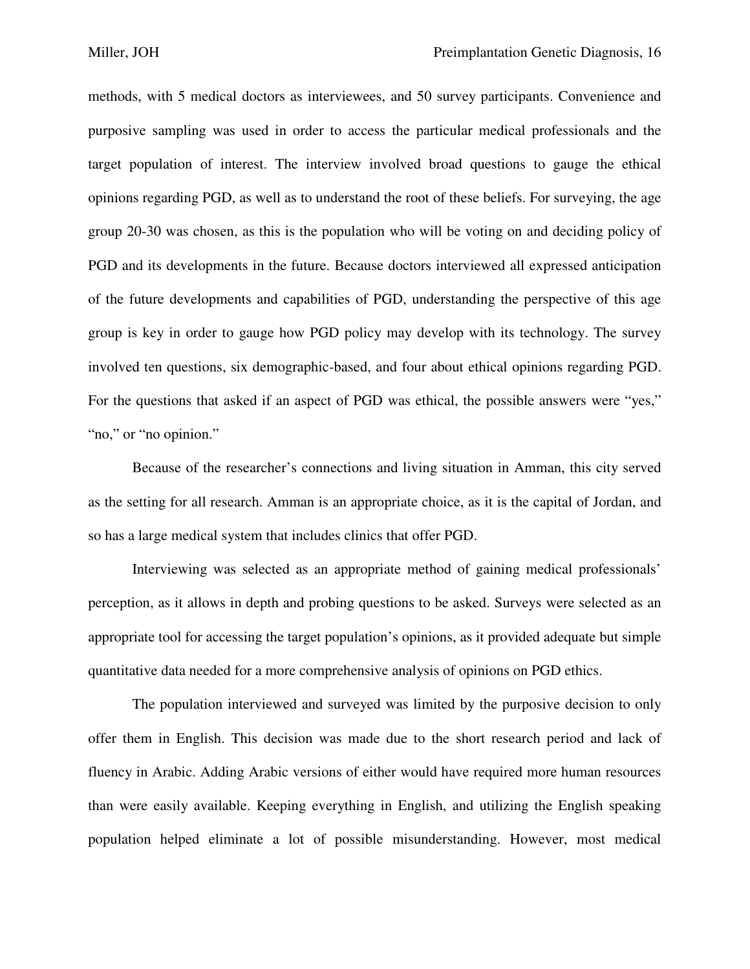methods, with 5 medical doctors as interviewees, and 50 survey participants. Convenience and purposive sampling was used in order to access the particular medical professionals and the target population of interest. The interview involved broad questions to gauge the ethical opinions regarding PGD, as well as to understand the root of these beliefs. For surveying, the age group 20-30 was chosen, as this is the population who will be voting on and deciding policy of PGD and its developments in the future. Because doctors interviewed all expressed anticipation of the future developments and capabilities of PGD, understanding the perspective of this age group is key in order to gauge how PGD policy may develop with its technology. The survey involved ten questions, six demographic-based, and four about ethical opinions regarding PGD. For the questions that asked if an aspect of PGD was ethical, the possible answers were "yes," "no," or "no opinion."

 Because of the researcher's connections and living situation in Amman, this city served as the setting for all research. Amman is an appropriate choice, as it is the capital of Jordan, and so has a large medical system that includes clinics that offer PGD.

 Interviewing was selected as an appropriate method of gaining medical professionals' perception, as it allows in depth and probing questions to be asked. Surveys were selected as an appropriate tool for accessing the target population's opinions, as it provided adequate but simple quantitative data needed for a more comprehensive analysis of opinions on PGD ethics.

 The population interviewed and surveyed was limited by the purposive decision to only offer them in English. This decision was made due to the short research period and lack of fluency in Arabic. Adding Arabic versions of either would have required more human resources than were easily available. Keeping everything in English, and utilizing the English speaking population helped eliminate a lot of possible misunderstanding. However, most medical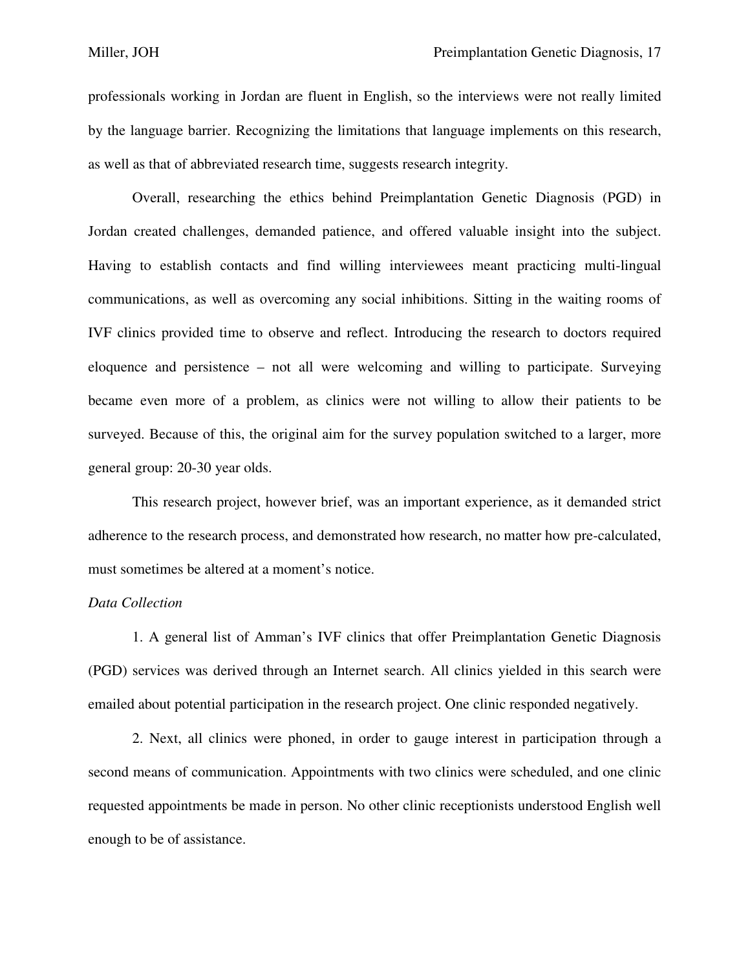professionals working in Jordan are fluent in English, so the interviews were not really limited by the language barrier. Recognizing the limitations that language implements on this research, as well as that of abbreviated research time, suggests research integrity.

 Overall, researching the ethics behind Preimplantation Genetic Diagnosis (PGD) in Jordan created challenges, demanded patience, and offered valuable insight into the subject. Having to establish contacts and find willing interviewees meant practicing multi-lingual communications, as well as overcoming any social inhibitions. Sitting in the waiting rooms of IVF clinics provided time to observe and reflect. Introducing the research to doctors required eloquence and persistence – not all were welcoming and willing to participate. Surveying became even more of a problem, as clinics were not willing to allow their patients to be surveyed. Because of this, the original aim for the survey population switched to a larger, more general group: 20-30 year olds.

 This research project, however brief, was an important experience, as it demanded strict adherence to the research process, and demonstrated how research, no matter how pre-calculated, must sometimes be altered at a moment's notice.

#### *Data Collection*

1. A general list of Amman's IVF clinics that offer Preimplantation Genetic Diagnosis (PGD) services was derived through an Internet search. All clinics yielded in this search were emailed about potential participation in the research project. One clinic responded negatively.

 2. Next, all clinics were phoned, in order to gauge interest in participation through a second means of communication. Appointments with two clinics were scheduled, and one clinic requested appointments be made in person. No other clinic receptionists understood English well enough to be of assistance.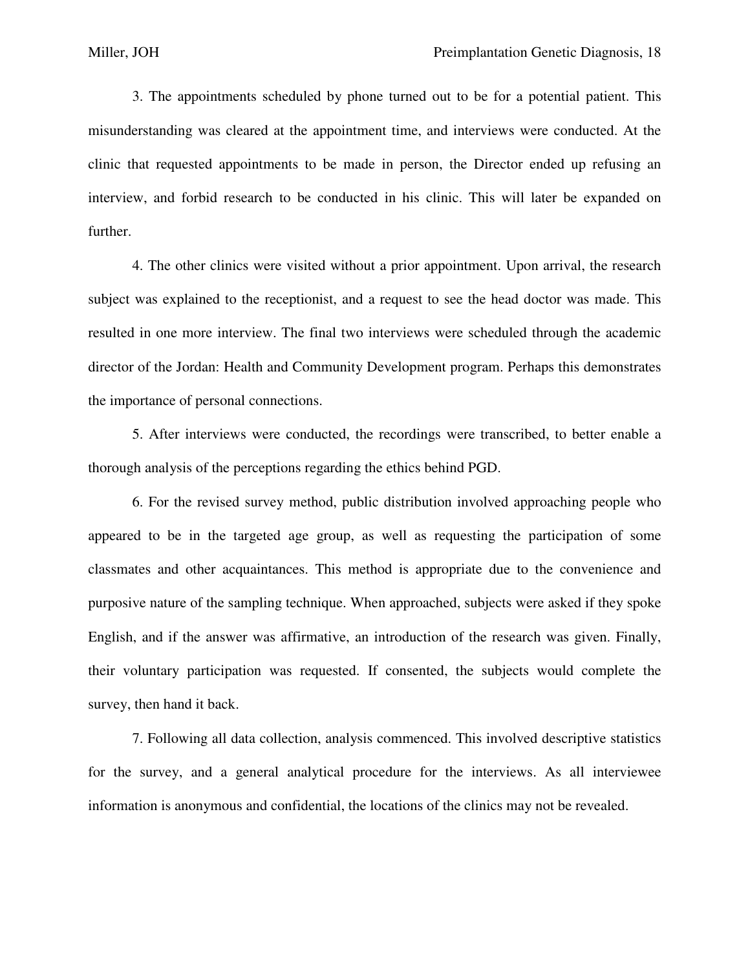3. The appointments scheduled by phone turned out to be for a potential patient. This misunderstanding was cleared at the appointment time, and interviews were conducted. At the clinic that requested appointments to be made in person, the Director ended up refusing an interview, and forbid research to be conducted in his clinic. This will later be expanded on further.

 4. The other clinics were visited without a prior appointment. Upon arrival, the research subject was explained to the receptionist, and a request to see the head doctor was made. This resulted in one more interview. The final two interviews were scheduled through the academic director of the Jordan: Health and Community Development program. Perhaps this demonstrates the importance of personal connections.

 5. After interviews were conducted, the recordings were transcribed, to better enable a thorough analysis of the perceptions regarding the ethics behind PGD.

 6. For the revised survey method, public distribution involved approaching people who appeared to be in the targeted age group, as well as requesting the participation of some classmates and other acquaintances. This method is appropriate due to the convenience and purposive nature of the sampling technique. When approached, subjects were asked if they spoke English, and if the answer was affirmative, an introduction of the research was given. Finally, their voluntary participation was requested. If consented, the subjects would complete the survey, then hand it back.

 7. Following all data collection, analysis commenced. This involved descriptive statistics for the survey, and a general analytical procedure for the interviews. As all interviewee information is anonymous and confidential, the locations of the clinics may not be revealed.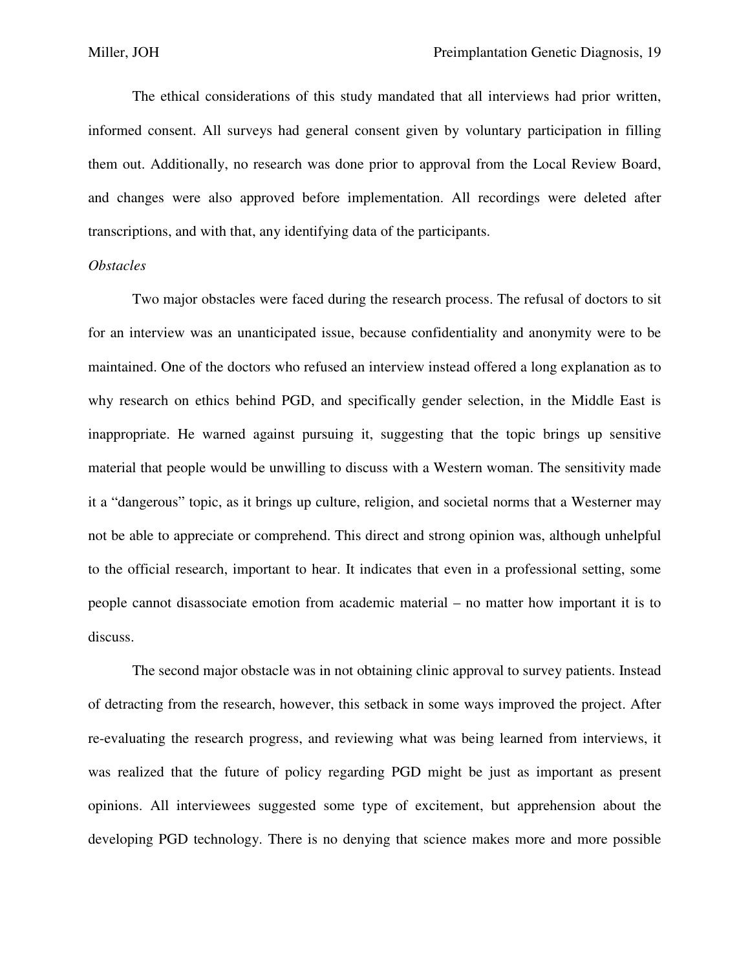The ethical considerations of this study mandated that all interviews had prior written, informed consent. All surveys had general consent given by voluntary participation in filling them out. Additionally, no research was done prior to approval from the Local Review Board, and changes were also approved before implementation. All recordings were deleted after transcriptions, and with that, any identifying data of the participants.

#### *Obstacles*

 Two major obstacles were faced during the research process. The refusal of doctors to sit for an interview was an unanticipated issue, because confidentiality and anonymity were to be maintained. One of the doctors who refused an interview instead offered a long explanation as to why research on ethics behind PGD, and specifically gender selection, in the Middle East is inappropriate. He warned against pursuing it, suggesting that the topic brings up sensitive material that people would be unwilling to discuss with a Western woman. The sensitivity made it a "dangerous" topic, as it brings up culture, religion, and societal norms that a Westerner may not be able to appreciate or comprehend. This direct and strong opinion was, although unhelpful to the official research, important to hear. It indicates that even in a professional setting, some people cannot disassociate emotion from academic material – no matter how important it is to discuss.

 The second major obstacle was in not obtaining clinic approval to survey patients. Instead of detracting from the research, however, this setback in some ways improved the project. After re-evaluating the research progress, and reviewing what was being learned from interviews, it was realized that the future of policy regarding PGD might be just as important as present opinions. All interviewees suggested some type of excitement, but apprehension about the developing PGD technology. There is no denying that science makes more and more possible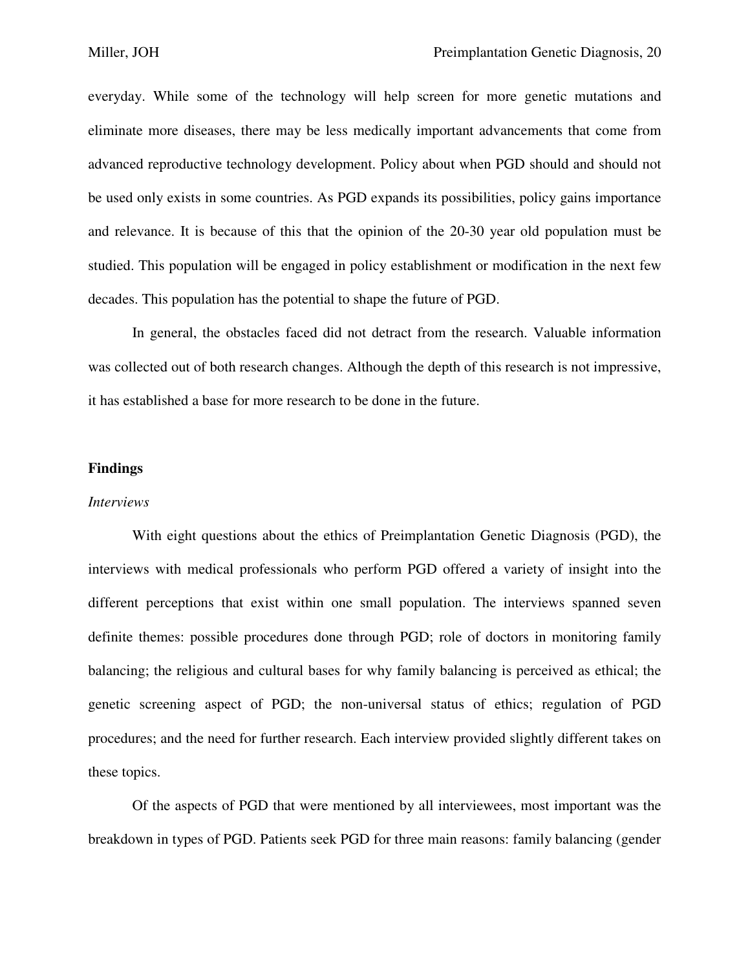everyday. While some of the technology will help screen for more genetic mutations and eliminate more diseases, there may be less medically important advancements that come from advanced reproductive technology development. Policy about when PGD should and should not be used only exists in some countries. As PGD expands its possibilities, policy gains importance and relevance. It is because of this that the opinion of the 20-30 year old population must be studied. This population will be engaged in policy establishment or modification in the next few decades. This population has the potential to shape the future of PGD.

 In general, the obstacles faced did not detract from the research. Valuable information was collected out of both research changes. Although the depth of this research is not impressive, it has established a base for more research to be done in the future.

#### **Findings**

#### *Interviews*

With eight questions about the ethics of Preimplantation Genetic Diagnosis (PGD), the interviews with medical professionals who perform PGD offered a variety of insight into the different perceptions that exist within one small population. The interviews spanned seven definite themes: possible procedures done through PGD; role of doctors in monitoring family balancing; the religious and cultural bases for why family balancing is perceived as ethical; the genetic screening aspect of PGD; the non-universal status of ethics; regulation of PGD procedures; and the need for further research. Each interview provided slightly different takes on these topics.

 Of the aspects of PGD that were mentioned by all interviewees, most important was the breakdown in types of PGD. Patients seek PGD for three main reasons: family balancing (gender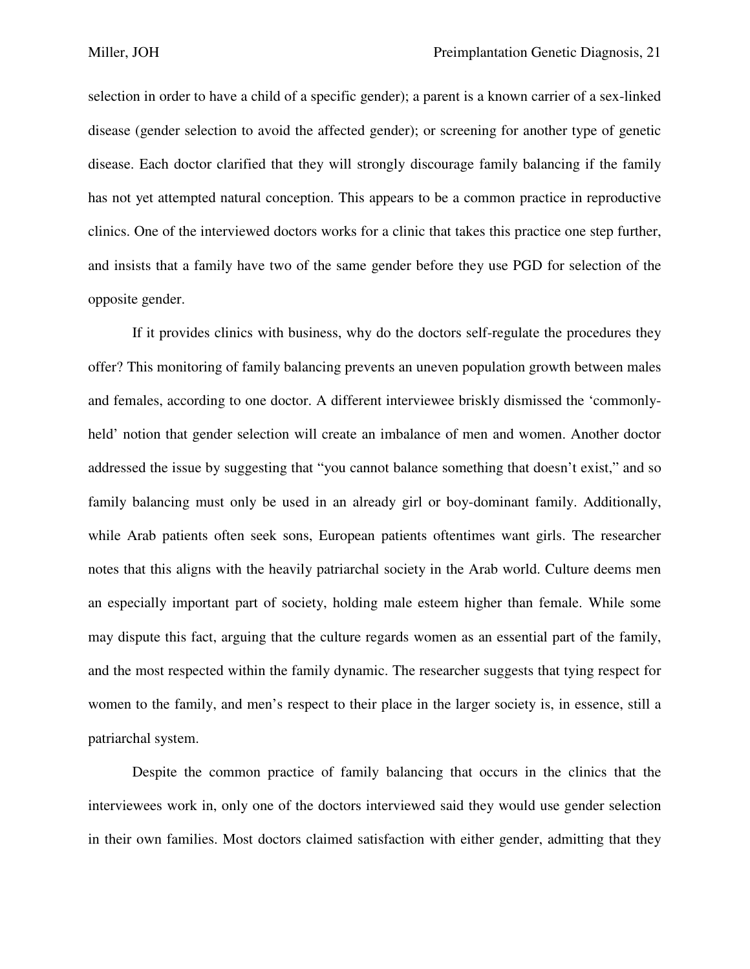selection in order to have a child of a specific gender); a parent is a known carrier of a sex-linked disease (gender selection to avoid the affected gender); or screening for another type of genetic disease. Each doctor clarified that they will strongly discourage family balancing if the family has not yet attempted natural conception. This appears to be a common practice in reproductive clinics. One of the interviewed doctors works for a clinic that takes this practice one step further, and insists that a family have two of the same gender before they use PGD for selection of the opposite gender.

 If it provides clinics with business, why do the doctors self-regulate the procedures they offer? This monitoring of family balancing prevents an uneven population growth between males and females, according to one doctor. A different interviewee briskly dismissed the 'commonlyheld' notion that gender selection will create an imbalance of men and women. Another doctor addressed the issue by suggesting that "you cannot balance something that doesn't exist," and so family balancing must only be used in an already girl or boy-dominant family. Additionally, while Arab patients often seek sons, European patients oftentimes want girls. The researcher notes that this aligns with the heavily patriarchal society in the Arab world. Culture deems men an especially important part of society, holding male esteem higher than female. While some may dispute this fact, arguing that the culture regards women as an essential part of the family, and the most respected within the family dynamic. The researcher suggests that tying respect for women to the family, and men's respect to their place in the larger society is, in essence, still a patriarchal system.

 Despite the common practice of family balancing that occurs in the clinics that the interviewees work in, only one of the doctors interviewed said they would use gender selection in their own families. Most doctors claimed satisfaction with either gender, admitting that they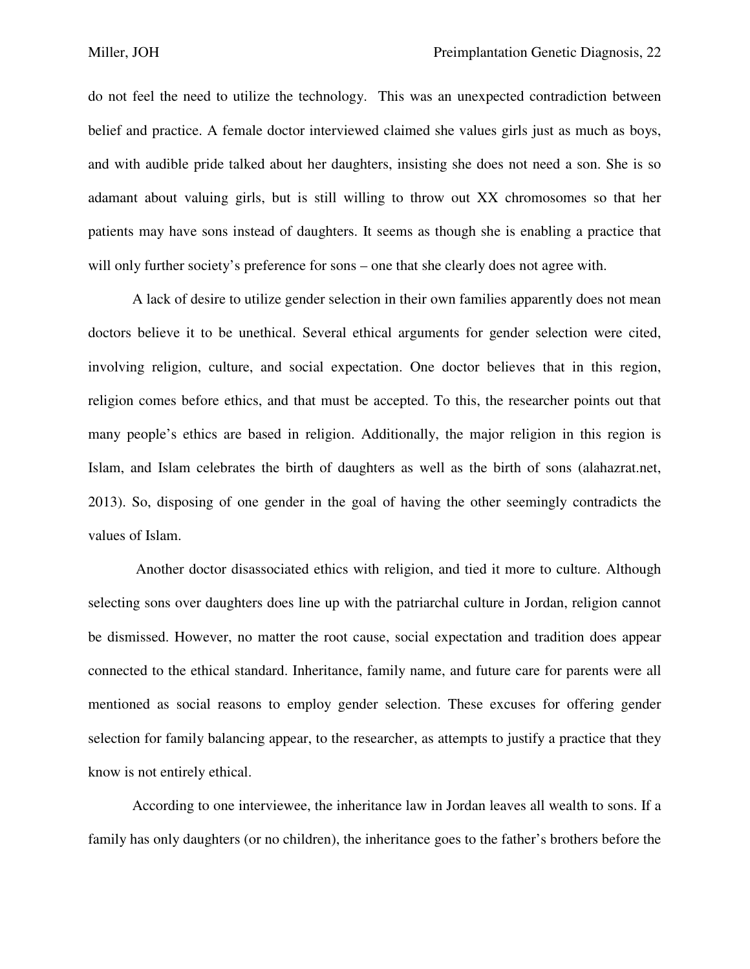do not feel the need to utilize the technology. This was an unexpected contradiction between belief and practice. A female doctor interviewed claimed she values girls just as much as boys, and with audible pride talked about her daughters, insisting she does not need a son. She is so adamant about valuing girls, but is still willing to throw out XX chromosomes so that her patients may have sons instead of daughters. It seems as though she is enabling a practice that will only further society's preference for sons – one that she clearly does not agree with.

 A lack of desire to utilize gender selection in their own families apparently does not mean doctors believe it to be unethical. Several ethical arguments for gender selection were cited, involving religion, culture, and social expectation. One doctor believes that in this region, religion comes before ethics, and that must be accepted. To this, the researcher points out that many people's ethics are based in religion. Additionally, the major religion in this region is Islam, and Islam celebrates the birth of daughters as well as the birth of sons (alahazrat.net, 2013). So, disposing of one gender in the goal of having the other seemingly contradicts the values of Islam.

 Another doctor disassociated ethics with religion, and tied it more to culture. Although selecting sons over daughters does line up with the patriarchal culture in Jordan, religion cannot be dismissed. However, no matter the root cause, social expectation and tradition does appear connected to the ethical standard. Inheritance, family name, and future care for parents were all mentioned as social reasons to employ gender selection. These excuses for offering gender selection for family balancing appear, to the researcher, as attempts to justify a practice that they know is not entirely ethical.

 According to one interviewee, the inheritance law in Jordan leaves all wealth to sons. If a family has only daughters (or no children), the inheritance goes to the father's brothers before the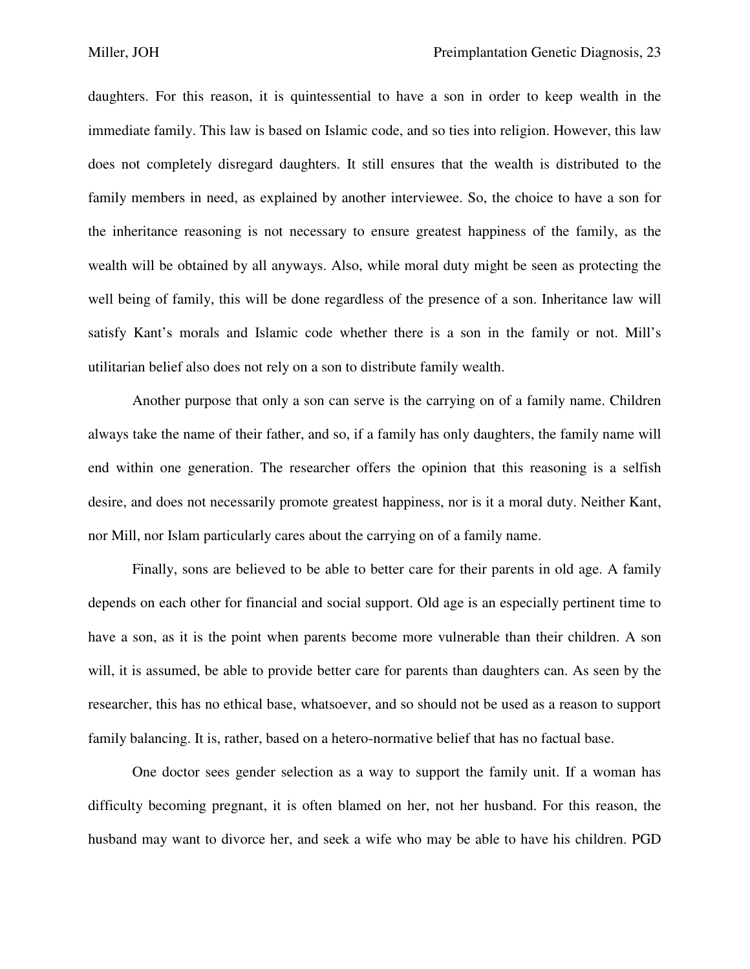daughters. For this reason, it is quintessential to have a son in order to keep wealth in the immediate family. This law is based on Islamic code, and so ties into religion. However, this law does not completely disregard daughters. It still ensures that the wealth is distributed to the family members in need, as explained by another interviewee. So, the choice to have a son for the inheritance reasoning is not necessary to ensure greatest happiness of the family, as the wealth will be obtained by all anyways. Also, while moral duty might be seen as protecting the well being of family, this will be done regardless of the presence of a son. Inheritance law will satisfy Kant's morals and Islamic code whether there is a son in the family or not. Mill's utilitarian belief also does not rely on a son to distribute family wealth.

 Another purpose that only a son can serve is the carrying on of a family name. Children always take the name of their father, and so, if a family has only daughters, the family name will end within one generation. The researcher offers the opinion that this reasoning is a selfish desire, and does not necessarily promote greatest happiness, nor is it a moral duty. Neither Kant, nor Mill, nor Islam particularly cares about the carrying on of a family name.

 Finally, sons are believed to be able to better care for their parents in old age. A family depends on each other for financial and social support. Old age is an especially pertinent time to have a son, as it is the point when parents become more vulnerable than their children. A son will, it is assumed, be able to provide better care for parents than daughters can. As seen by the researcher, this has no ethical base, whatsoever, and so should not be used as a reason to support family balancing. It is, rather, based on a hetero-normative belief that has no factual base.

 One doctor sees gender selection as a way to support the family unit. If a woman has difficulty becoming pregnant, it is often blamed on her, not her husband. For this reason, the husband may want to divorce her, and seek a wife who may be able to have his children. PGD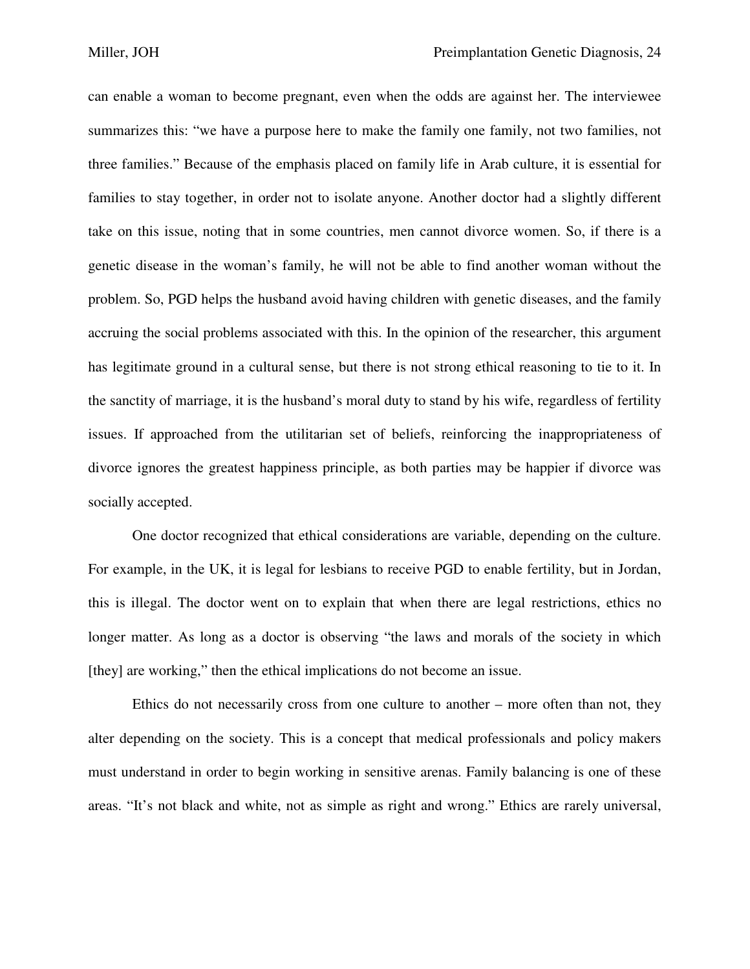can enable a woman to become pregnant, even when the odds are against her. The interviewee summarizes this: "we have a purpose here to make the family one family, not two families, not three families." Because of the emphasis placed on family life in Arab culture, it is essential for families to stay together, in order not to isolate anyone. Another doctor had a slightly different take on this issue, noting that in some countries, men cannot divorce women. So, if there is a genetic disease in the woman's family, he will not be able to find another woman without the problem. So, PGD helps the husband avoid having children with genetic diseases, and the family accruing the social problems associated with this. In the opinion of the researcher, this argument has legitimate ground in a cultural sense, but there is not strong ethical reasoning to tie to it. In the sanctity of marriage, it is the husband's moral duty to stand by his wife, regardless of fertility issues. If approached from the utilitarian set of beliefs, reinforcing the inappropriateness of divorce ignores the greatest happiness principle, as both parties may be happier if divorce was socially accepted.

 One doctor recognized that ethical considerations are variable, depending on the culture. For example, in the UK, it is legal for lesbians to receive PGD to enable fertility, but in Jordan, this is illegal. The doctor went on to explain that when there are legal restrictions, ethics no longer matter. As long as a doctor is observing "the laws and morals of the society in which [they] are working," then the ethical implications do not become an issue.

 Ethics do not necessarily cross from one culture to another – more often than not, they alter depending on the society. This is a concept that medical professionals and policy makers must understand in order to begin working in sensitive arenas. Family balancing is one of these areas. "It's not black and white, not as simple as right and wrong." Ethics are rarely universal,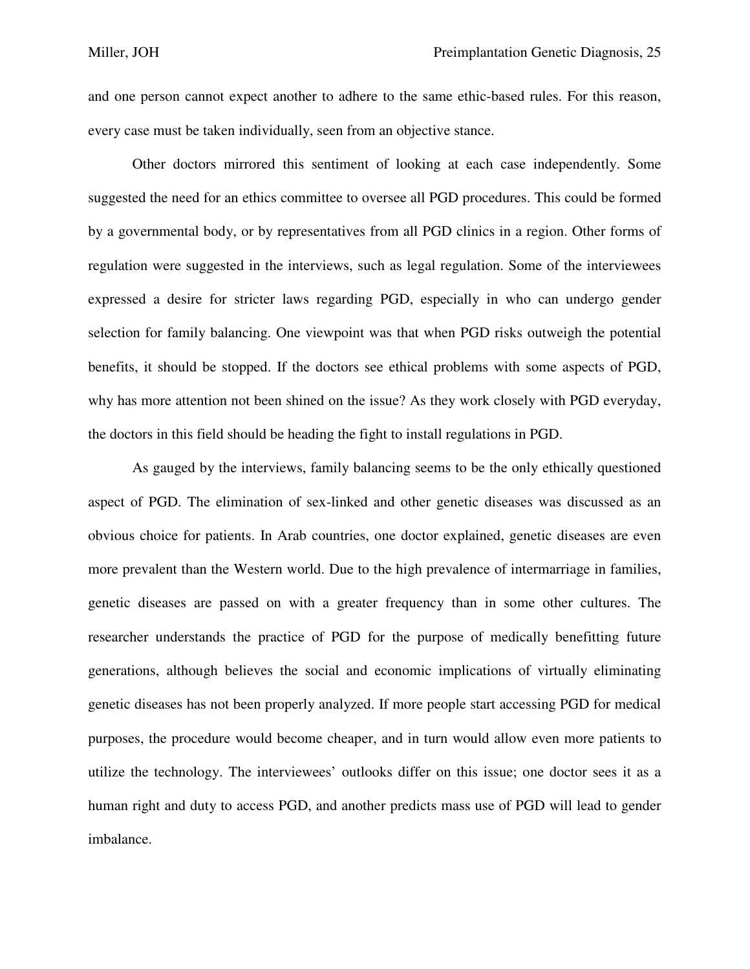and one person cannot expect another to adhere to the same ethic-based rules. For this reason, every case must be taken individually, seen from an objective stance.

 Other doctors mirrored this sentiment of looking at each case independently. Some suggested the need for an ethics committee to oversee all PGD procedures. This could be formed by a governmental body, or by representatives from all PGD clinics in a region. Other forms of regulation were suggested in the interviews, such as legal regulation. Some of the interviewees expressed a desire for stricter laws regarding PGD, especially in who can undergo gender selection for family balancing. One viewpoint was that when PGD risks outweigh the potential benefits, it should be stopped. If the doctors see ethical problems with some aspects of PGD, why has more attention not been shined on the issue? As they work closely with PGD everyday, the doctors in this field should be heading the fight to install regulations in PGD.

 As gauged by the interviews, family balancing seems to be the only ethically questioned aspect of PGD. The elimination of sex-linked and other genetic diseases was discussed as an obvious choice for patients. In Arab countries, one doctor explained, genetic diseases are even more prevalent than the Western world. Due to the high prevalence of intermarriage in families, genetic diseases are passed on with a greater frequency than in some other cultures. The researcher understands the practice of PGD for the purpose of medically benefitting future generations, although believes the social and economic implications of virtually eliminating genetic diseases has not been properly analyzed. If more people start accessing PGD for medical purposes, the procedure would become cheaper, and in turn would allow even more patients to utilize the technology. The interviewees' outlooks differ on this issue; one doctor sees it as a human right and duty to access PGD, and another predicts mass use of PGD will lead to gender imbalance.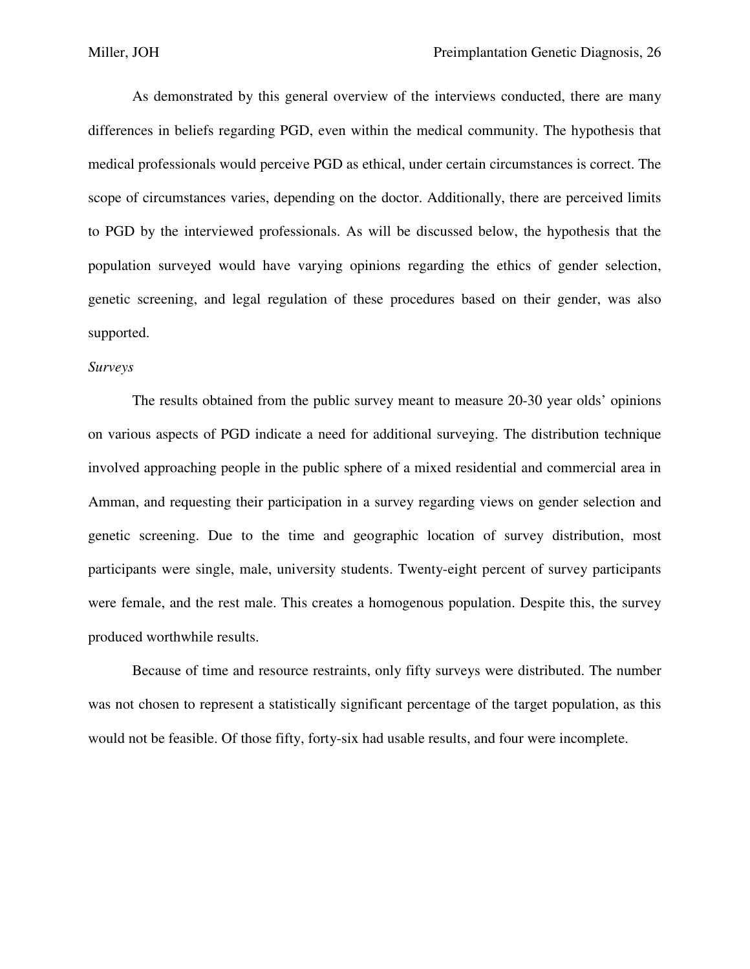As demonstrated by this general overview of the interviews conducted, there are many differences in beliefs regarding PGD, even within the medical community. The hypothesis that medical professionals would perceive PGD as ethical, under certain circumstances is correct. The scope of circumstances varies, depending on the doctor. Additionally, there are perceived limits to PGD by the interviewed professionals. As will be discussed below, the hypothesis that the population surveyed would have varying opinions regarding the ethics of gender selection, genetic screening, and legal regulation of these procedures based on their gender, was also supported.

#### *Surveys*

 The results obtained from the public survey meant to measure 20-30 year olds' opinions on various aspects of PGD indicate a need for additional surveying. The distribution technique involved approaching people in the public sphere of a mixed residential and commercial area in Amman, and requesting their participation in a survey regarding views on gender selection and genetic screening. Due to the time and geographic location of survey distribution, most participants were single, male, university students. Twenty-eight percent of survey participants were female, and the rest male. This creates a homogenous population. Despite this, the survey produced worthwhile results.

 Because of time and resource restraints, only fifty surveys were distributed. The number was not chosen to represent a statistically significant percentage of the target population, as this would not be feasible. Of those fifty, forty-six had usable results, and four were incomplete.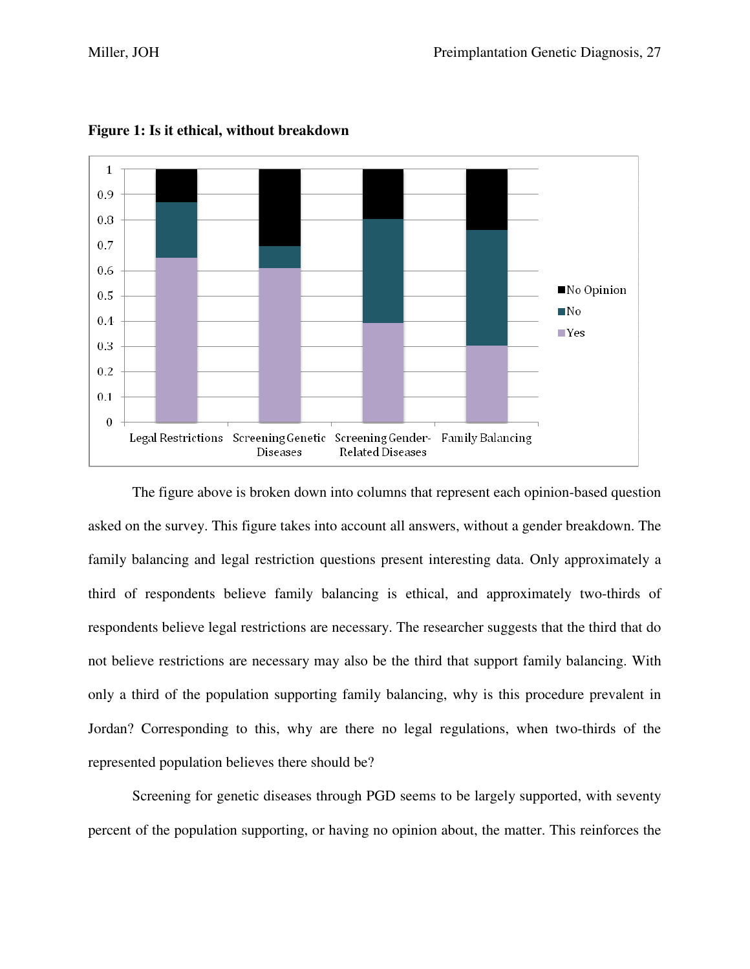

**Figure 1: Is it ethical, without breakdown** 

 The figure above is broken down into columns that represent each opinion-based question asked on the survey. This figure takes into account all answers, without a gender breakdown. The family balancing and legal restriction questions present interesting data. Only approximately a third of respondents believe family balancing is ethical, and approximately two-thirds of respondents believe legal restrictions are necessary. The researcher suggests that the third that do not believe restrictions are necessary may also be the third that support family balancing. With only a third of the population supporting family balancing, why is this procedure prevalent in Jordan? Corresponding to this, why are there no legal regulations, when two-thirds of the represented population believes there should be?

 Screening for genetic diseases through PGD seems to be largely supported, with seventy percent of the population supporting, or having no opinion about, the matter. This reinforces the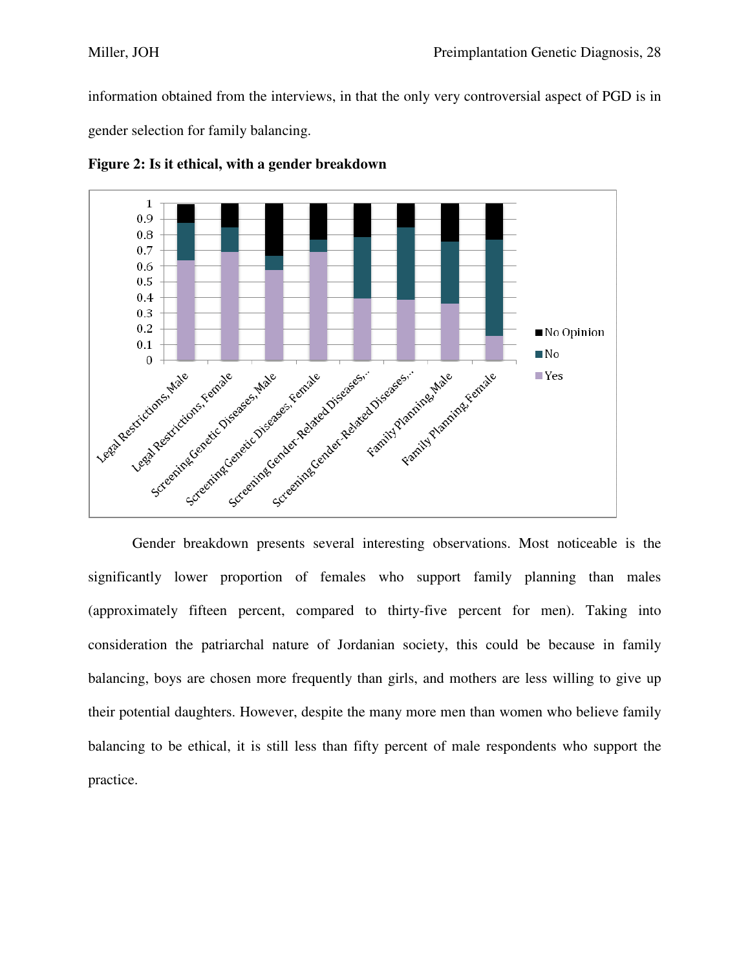information obtained from the interviews, in that the only very controversial aspect of PGD is in gender selection for family balancing.



**Figure 2: Is it ethical, with a gender breakdown** 

 Gender breakdown presents several interesting observations. Most noticeable is the significantly lower proportion of females who support family planning than males (approximately fifteen percent, compared to thirty-five percent for men). Taking into consideration the patriarchal nature of Jordanian society, this could be because in family balancing, boys are chosen more frequently than girls, and mothers are less willing to give up their potential daughters. However, despite the many more men than women who believe family balancing to be ethical, it is still less than fifty percent of male respondents who support the practice.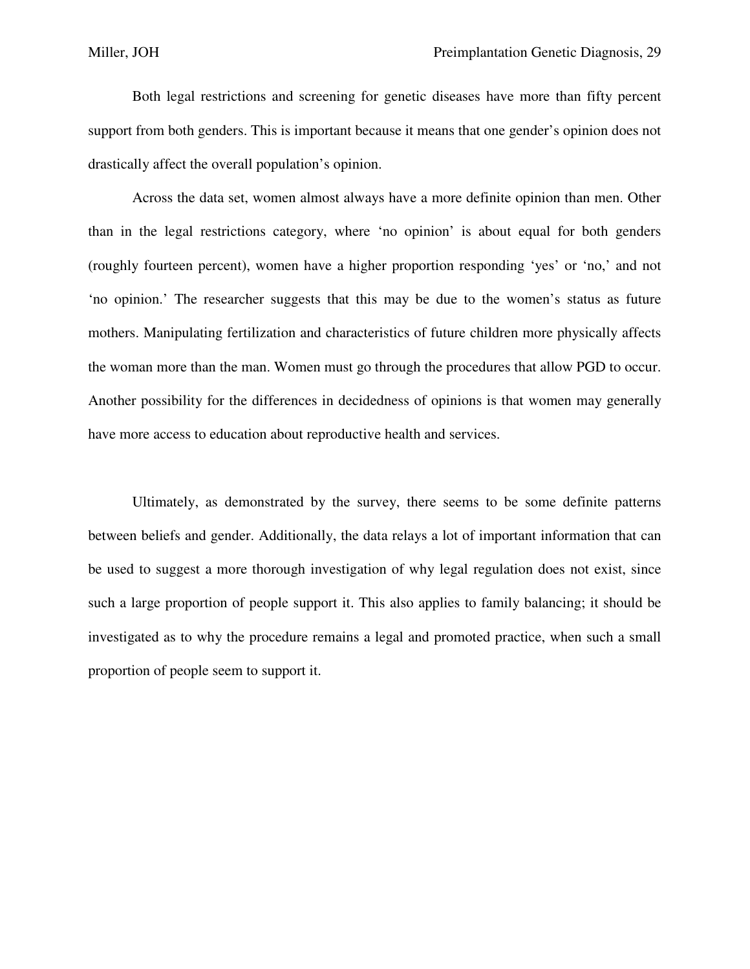Both legal restrictions and screening for genetic diseases have more than fifty percent support from both genders. This is important because it means that one gender's opinion does not drastically affect the overall population's opinion.

 Across the data set, women almost always have a more definite opinion than men. Other than in the legal restrictions category, where 'no opinion' is about equal for both genders (roughly fourteen percent), women have a higher proportion responding 'yes' or 'no,' and not 'no opinion.' The researcher suggests that this may be due to the women's status as future mothers. Manipulating fertilization and characteristics of future children more physically affects the woman more than the man. Women must go through the procedures that allow PGD to occur. Another possibility for the differences in decidedness of opinions is that women may generally have more access to education about reproductive health and services.

 Ultimately, as demonstrated by the survey, there seems to be some definite patterns between beliefs and gender. Additionally, the data relays a lot of important information that can be used to suggest a more thorough investigation of why legal regulation does not exist, since such a large proportion of people support it. This also applies to family balancing; it should be investigated as to why the procedure remains a legal and promoted practice, when such a small proportion of people seem to support it.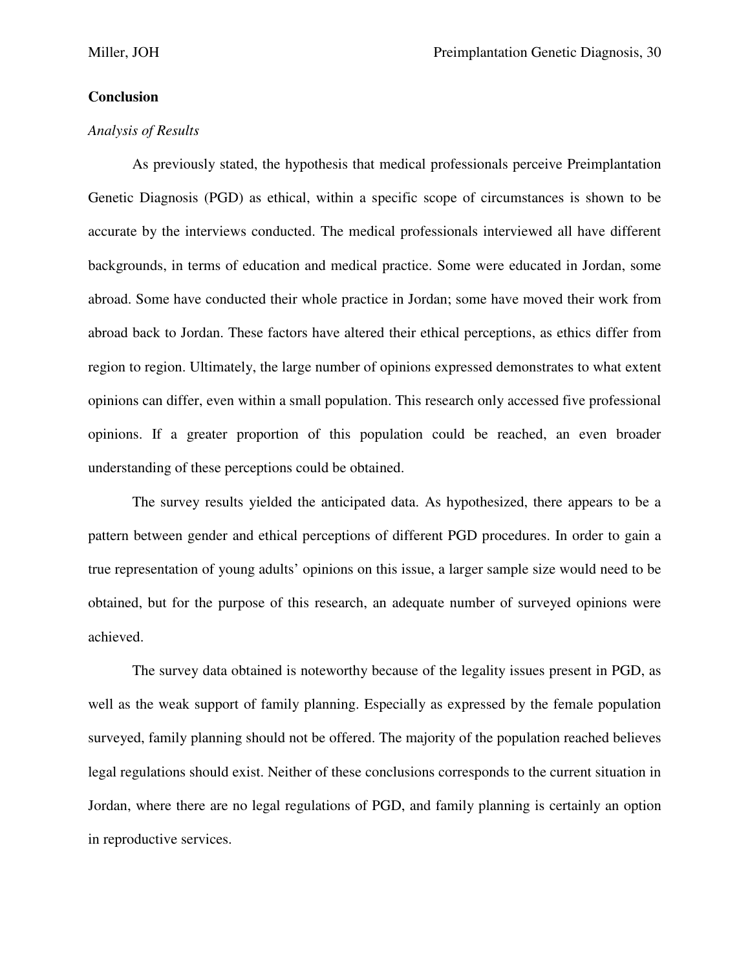# **Conclusion**

# *Analysis of Results*

 As previously stated, the hypothesis that medical professionals perceive Preimplantation Genetic Diagnosis (PGD) as ethical, within a specific scope of circumstances is shown to be accurate by the interviews conducted. The medical professionals interviewed all have different backgrounds, in terms of education and medical practice. Some were educated in Jordan, some abroad. Some have conducted their whole practice in Jordan; some have moved their work from abroad back to Jordan. These factors have altered their ethical perceptions, as ethics differ from region to region. Ultimately, the large number of opinions expressed demonstrates to what extent opinions can differ, even within a small population. This research only accessed five professional opinions. If a greater proportion of this population could be reached, an even broader understanding of these perceptions could be obtained.

 The survey results yielded the anticipated data. As hypothesized, there appears to be a pattern between gender and ethical perceptions of different PGD procedures. In order to gain a true representation of young adults' opinions on this issue, a larger sample size would need to be obtained, but for the purpose of this research, an adequate number of surveyed opinions were achieved.

 The survey data obtained is noteworthy because of the legality issues present in PGD, as well as the weak support of family planning. Especially as expressed by the female population surveyed, family planning should not be offered. The majority of the population reached believes legal regulations should exist. Neither of these conclusions corresponds to the current situation in Jordan, where there are no legal regulations of PGD, and family planning is certainly an option in reproductive services.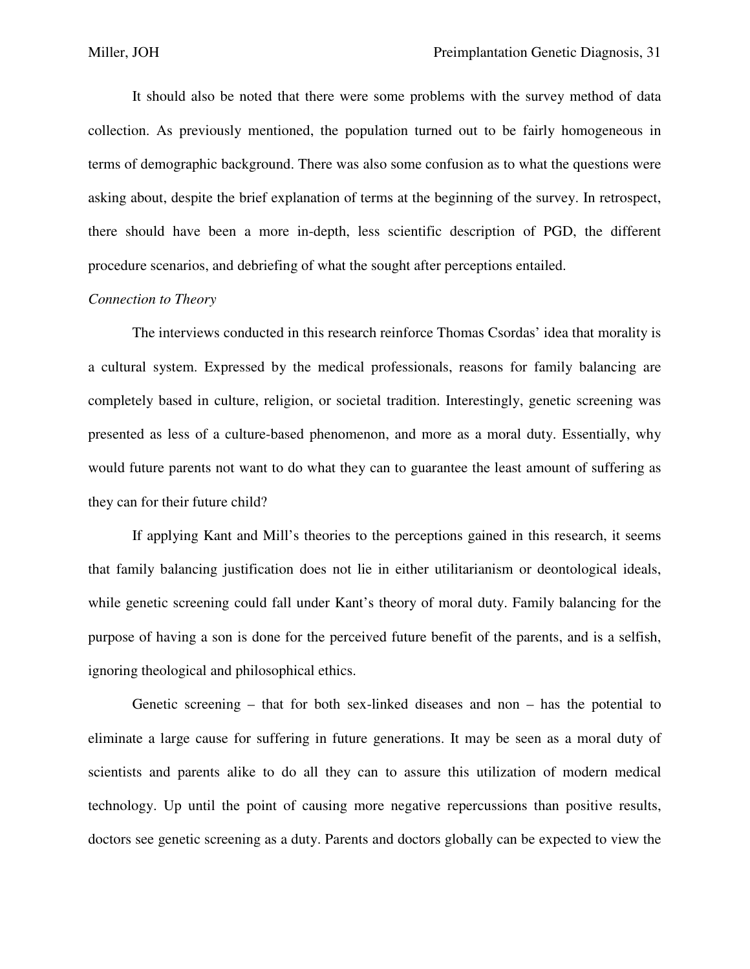It should also be noted that there were some problems with the survey method of data collection. As previously mentioned, the population turned out to be fairly homogeneous in terms of demographic background. There was also some confusion as to what the questions were asking about, despite the brief explanation of terms at the beginning of the survey. In retrospect, there should have been a more in-depth, less scientific description of PGD, the different procedure scenarios, and debriefing of what the sought after perceptions entailed.

### *Connection to Theory*

 The interviews conducted in this research reinforce Thomas Csordas' idea that morality is a cultural system. Expressed by the medical professionals, reasons for family balancing are completely based in culture, religion, or societal tradition. Interestingly, genetic screening was presented as less of a culture-based phenomenon, and more as a moral duty. Essentially, why would future parents not want to do what they can to guarantee the least amount of suffering as they can for their future child?

 If applying Kant and Mill's theories to the perceptions gained in this research, it seems that family balancing justification does not lie in either utilitarianism or deontological ideals, while genetic screening could fall under Kant's theory of moral duty. Family balancing for the purpose of having a son is done for the perceived future benefit of the parents, and is a selfish, ignoring theological and philosophical ethics.

 Genetic screening – that for both sex-linked diseases and non – has the potential to eliminate a large cause for suffering in future generations. It may be seen as a moral duty of scientists and parents alike to do all they can to assure this utilization of modern medical technology. Up until the point of causing more negative repercussions than positive results, doctors see genetic screening as a duty. Parents and doctors globally can be expected to view the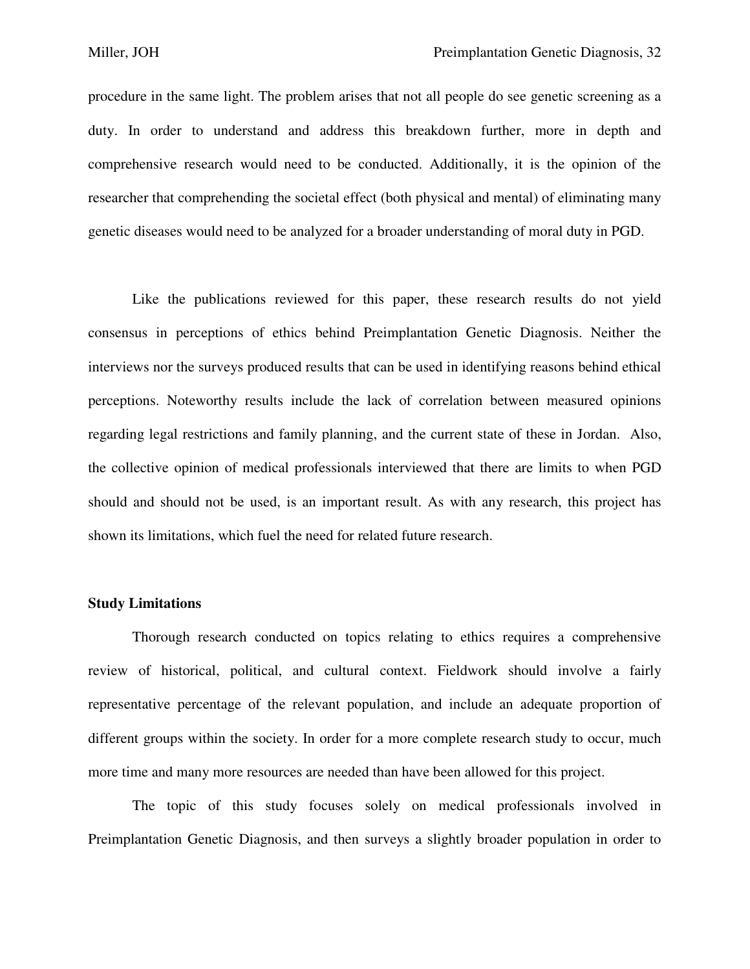procedure in the same light. The problem arises that not all people do see genetic screening as a duty. In order to understand and address this breakdown further, more in depth and comprehensive research would need to be conducted. Additionally, it is the opinion of the researcher that comprehending the societal effect (both physical and mental) of eliminating many genetic diseases would need to be analyzed for a broader understanding of moral duty in PGD.

 Like the publications reviewed for this paper, these research results do not yield consensus in perceptions of ethics behind Preimplantation Genetic Diagnosis. Neither the interviews nor the surveys produced results that can be used in identifying reasons behind ethical perceptions. Noteworthy results include the lack of correlation between measured opinions regarding legal restrictions and family planning, and the current state of these in Jordan. Also, the collective opinion of medical professionals interviewed that there are limits to when PGD should and should not be used, is an important result. As with any research, this project has shown its limitations, which fuel the need for related future research.

#### **Study Limitations**

 Thorough research conducted on topics relating to ethics requires a comprehensive review of historical, political, and cultural context. Fieldwork should involve a fairly representative percentage of the relevant population, and include an adequate proportion of different groups within the society. In order for a more complete research study to occur, much more time and many more resources are needed than have been allowed for this project.

 The topic of this study focuses solely on medical professionals involved in Preimplantation Genetic Diagnosis, and then surveys a slightly broader population in order to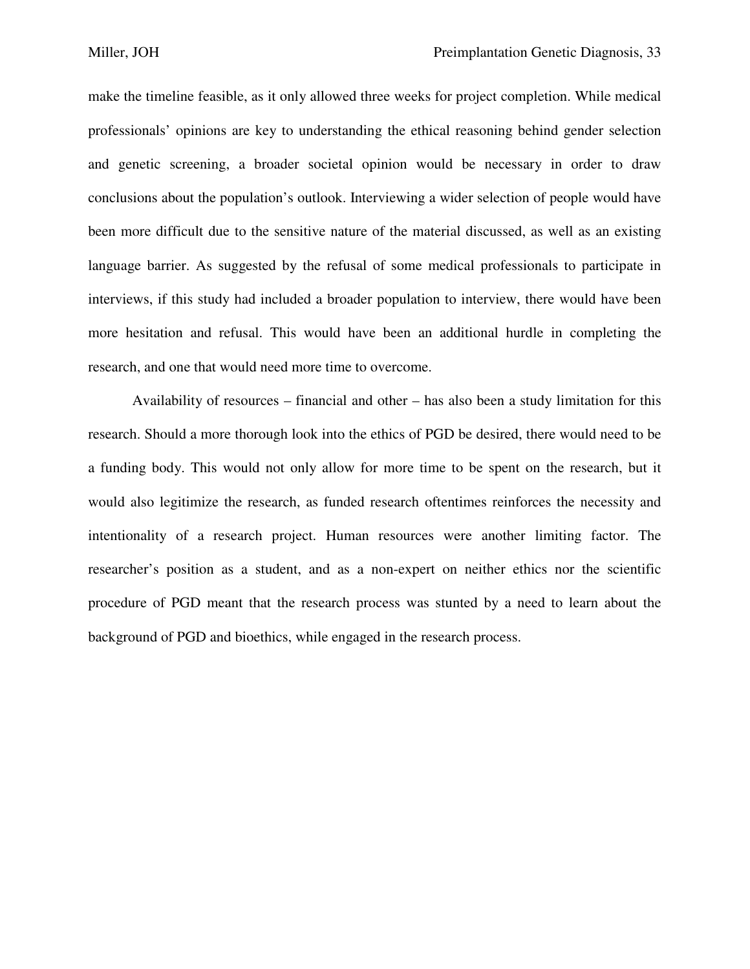make the timeline feasible, as it only allowed three weeks for project completion. While medical professionals' opinions are key to understanding the ethical reasoning behind gender selection and genetic screening, a broader societal opinion would be necessary in order to draw conclusions about the population's outlook. Interviewing a wider selection of people would have been more difficult due to the sensitive nature of the material discussed, as well as an existing language barrier. As suggested by the refusal of some medical professionals to participate in interviews, if this study had included a broader population to interview, there would have been more hesitation and refusal. This would have been an additional hurdle in completing the research, and one that would need more time to overcome.

 Availability of resources – financial and other – has also been a study limitation for this research. Should a more thorough look into the ethics of PGD be desired, there would need to be a funding body. This would not only allow for more time to be spent on the research, but it would also legitimize the research, as funded research oftentimes reinforces the necessity and intentionality of a research project. Human resources were another limiting factor. The researcher's position as a student, and as a non-expert on neither ethics nor the scientific procedure of PGD meant that the research process was stunted by a need to learn about the background of PGD and bioethics, while engaged in the research process.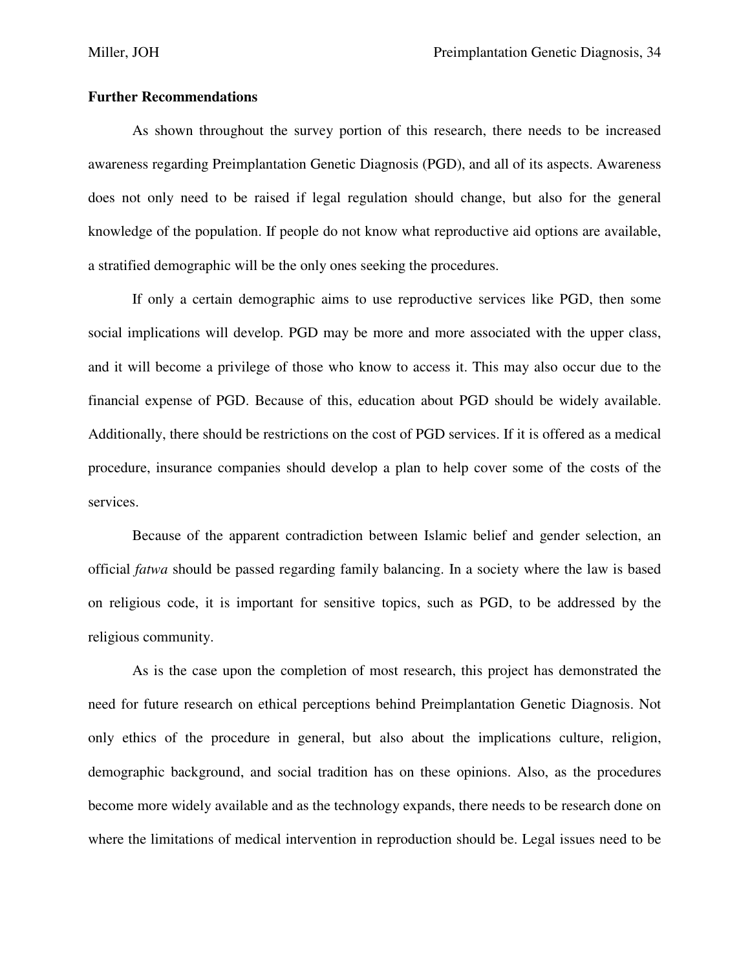## **Further Recommendations**

As shown throughout the survey portion of this research, there needs to be increased awareness regarding Preimplantation Genetic Diagnosis (PGD), and all of its aspects. Awareness does not only need to be raised if legal regulation should change, but also for the general knowledge of the population. If people do not know what reproductive aid options are available, a stratified demographic will be the only ones seeking the procedures.

 If only a certain demographic aims to use reproductive services like PGD, then some social implications will develop. PGD may be more and more associated with the upper class, and it will become a privilege of those who know to access it. This may also occur due to the financial expense of PGD. Because of this, education about PGD should be widely available. Additionally, there should be restrictions on the cost of PGD services. If it is offered as a medical procedure, insurance companies should develop a plan to help cover some of the costs of the services.

 Because of the apparent contradiction between Islamic belief and gender selection, an official *fatwa* should be passed regarding family balancing. In a society where the law is based on religious code, it is important for sensitive topics, such as PGD, to be addressed by the religious community.

As is the case upon the completion of most research, this project has demonstrated the need for future research on ethical perceptions behind Preimplantation Genetic Diagnosis. Not only ethics of the procedure in general, but also about the implications culture, religion, demographic background, and social tradition has on these opinions. Also, as the procedures become more widely available and as the technology expands, there needs to be research done on where the limitations of medical intervention in reproduction should be. Legal issues need to be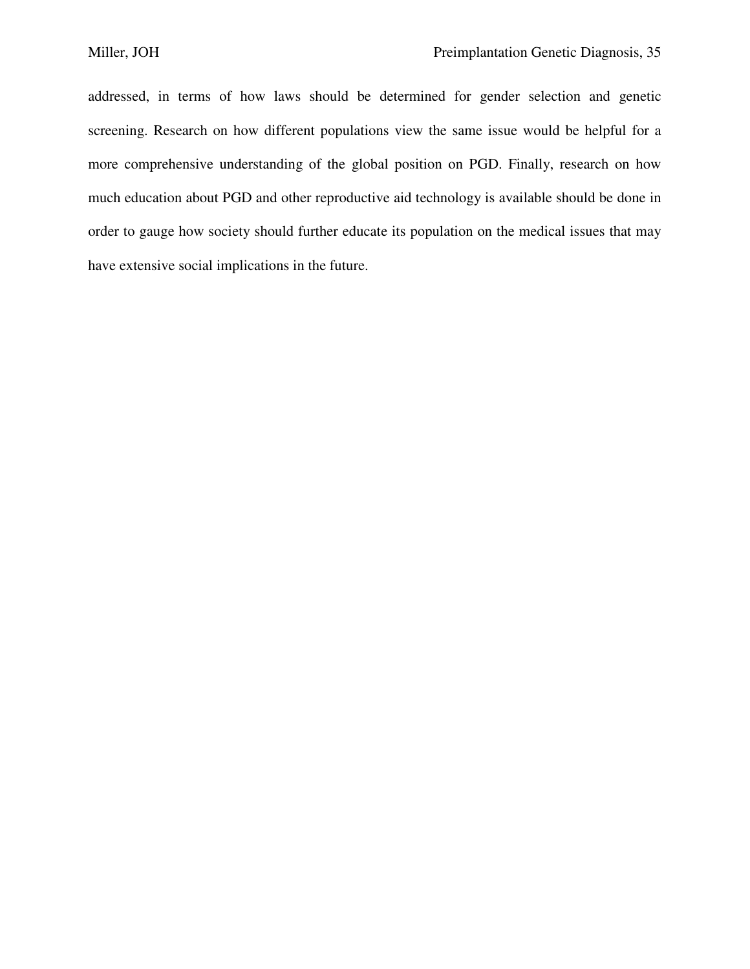addressed, in terms of how laws should be determined for gender selection and genetic screening. Research on how different populations view the same issue would be helpful for a more comprehensive understanding of the global position on PGD. Finally, research on how much education about PGD and other reproductive aid technology is available should be done in order to gauge how society should further educate its population on the medical issues that may have extensive social implications in the future.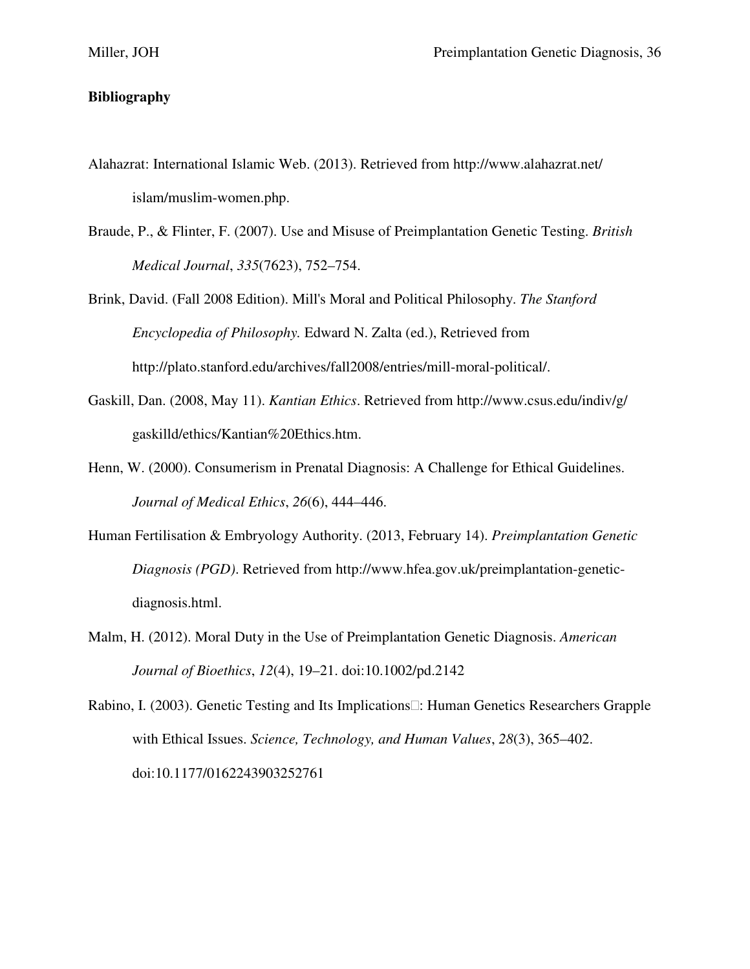# **Bibliography**

- Alahazrat: International Islamic Web. (2013). Retrieved from http://www.alahazrat.net/ islam/muslim-women.php.
- Braude, P., & Flinter, F. (2007). Use and Misuse of Preimplantation Genetic Testing. *British Medical Journal*, *335*(7623), 752–754.
- Brink, David. (Fall 2008 Edition). Mill's Moral and Political Philosophy. *The Stanford Encyclopedia of Philosophy.* Edward N. Zalta (ed.), Retrieved from http://plato.stanford.edu/archives/fall2008/entries/mill-moral-political/.
- Gaskill, Dan. (2008, May 11). *Kantian Ethics*. Retrieved from http://www.csus.edu/indiv/g/ gaskilld/ethics/Kantian%20Ethics.htm.
- Henn, W. (2000). Consumerism in Prenatal Diagnosis: A Challenge for Ethical Guidelines. *Journal of Medical Ethics*, *26*(6), 444–446.
- Human Fertilisation & Embryology Authority. (2013, February 14). *Preimplantation Genetic Diagnosis (PGD)*. Retrieved from http://www.hfea.gov.uk/preimplantation-genetic diagnosis.html.
- Malm, H. (2012). Moral Duty in the Use of Preimplantation Genetic Diagnosis. *American Journal of Bioethics*, *12*(4), 19–21. doi:10.1002/pd.2142

Rabino, I. (2003). Genetic Testing and Its Implications: Human Genetics Researchers Grapple with Ethical Issues. *Science, Technology, and Human Values*, *28*(3), 365–402. doi:10.1177/0162243903252761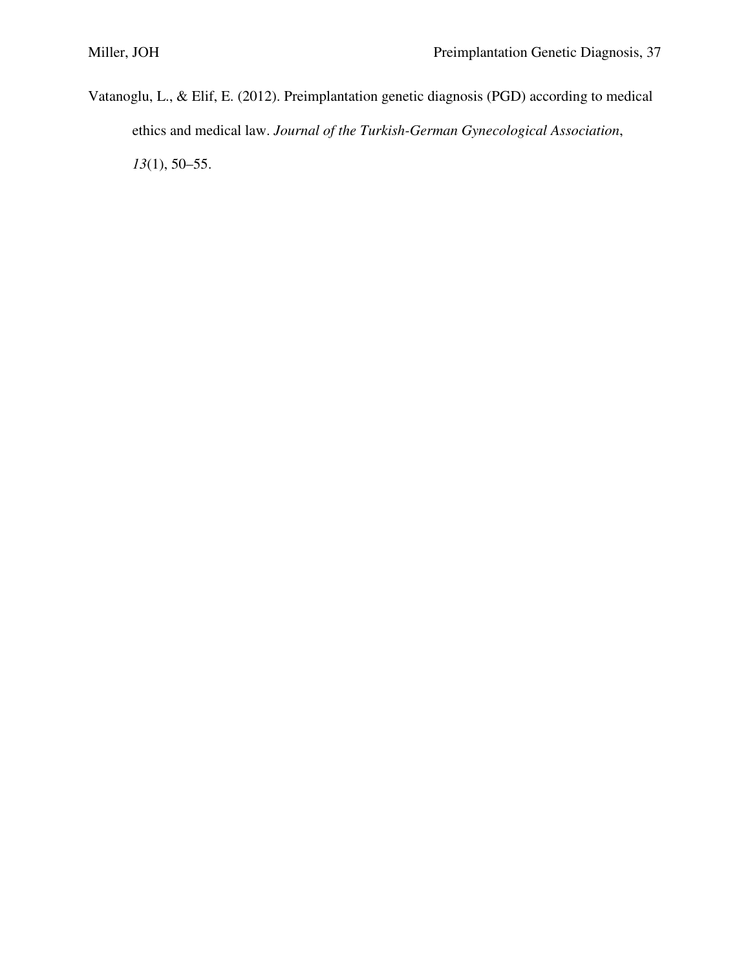Vatanoglu, L., & Elif, E. (2012). Preimplantation genetic diagnosis (PGD) according to medical ethics and medical law. *Journal of the Turkish-German Gynecological Association*, *13*(1), 50–55.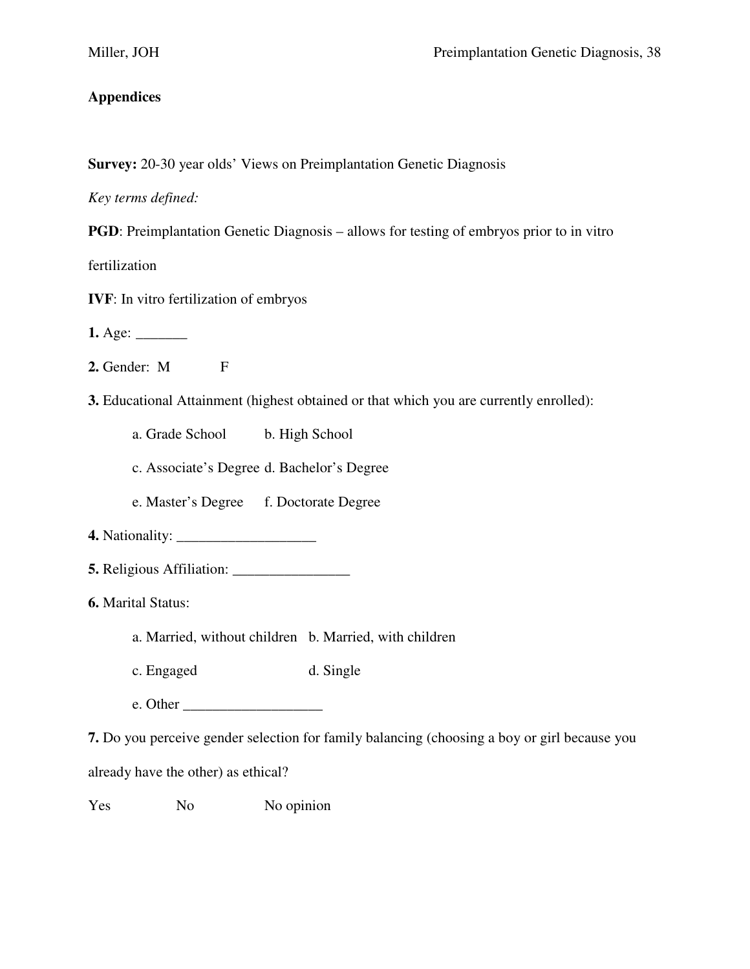# **Appendices**

**Survey:** 20-30 year olds' Views on Preimplantation Genetic Diagnosis

*Key terms defined:* 

**PGD**: Preimplantation Genetic Diagnosis – allows for testing of embryos prior to in vitro

fertilization

**IVF**: In vitro fertilization of embryos

**1.** Age: \_\_\_\_\_\_\_

- **2.** Gender: M F
- **3.** Educational Attainment (highest obtained or that which you are currently enrolled):

a. Grade School b. High School

c. Associate's Degree d. Bachelor's Degree

e. Master's Degree f. Doctorate Degree

- **4.** Nationality: \_\_\_\_\_\_\_\_\_\_\_\_\_\_\_\_\_\_\_
- **5.** Religious Affiliation: \_\_\_\_\_\_\_\_\_\_\_\_\_\_\_\_

**6.** Marital Status:

- a. Married, without children b. Married, with children
- c. Engaged d. Single
- e. Other \_\_\_\_\_\_\_\_\_\_\_\_\_\_\_\_\_\_\_

**7.** Do you perceive gender selection for family balancing (choosing a boy or girl because you

already have the other) as ethical?

Yes No No opinion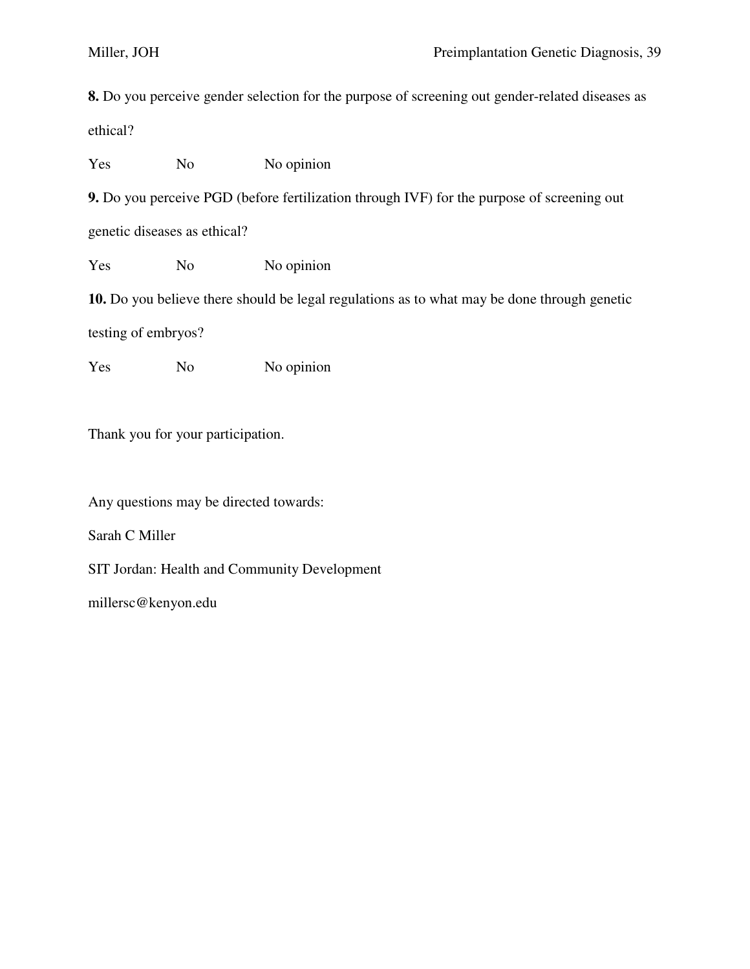**8.** Do you perceive gender selection for the purpose of screening out gender-related diseases as ethical?

Yes No No No opinion

**9.** Do you perceive PGD (before fertilization through IVF) for the purpose of screening out

genetic diseases as ethical?

Yes No No opinion

**10.** Do you believe there should be legal regulations as to what may be done through genetic

testing of embryos?

Yes No No No opinion

Thank you for your participation.

Any questions may be directed towards:

Sarah C Miller

SIT Jordan: Health and Community Development

millersc@kenyon.edu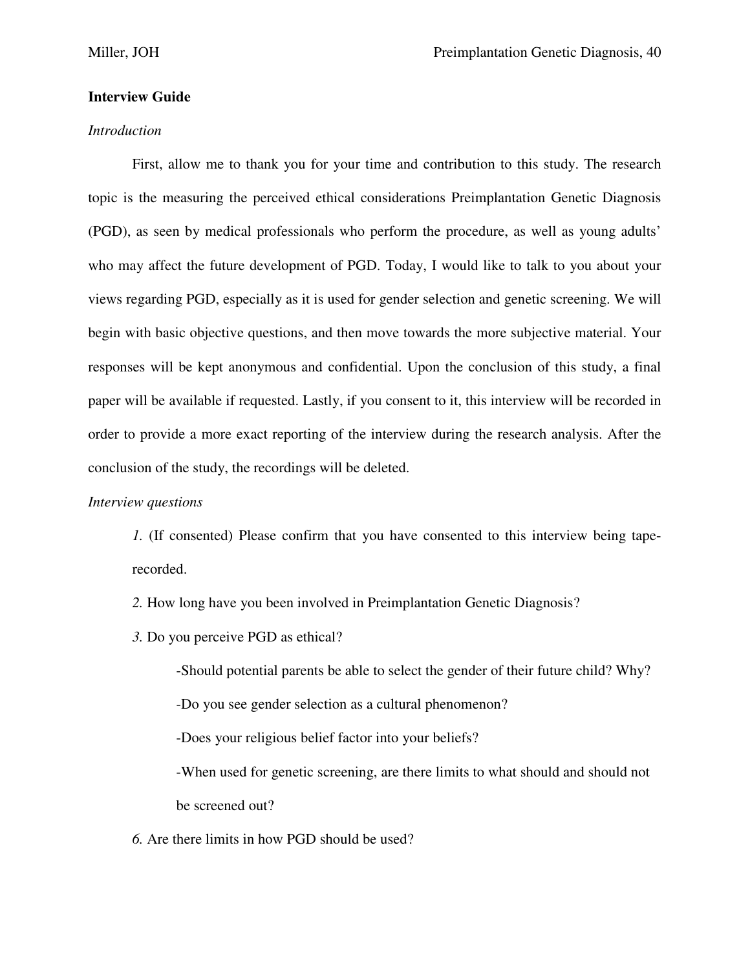# **Interview Guide**

### *Introduction*

 First, allow me to thank you for your time and contribution to this study. The research topic is the measuring the perceived ethical considerations Preimplantation Genetic Diagnosis (PGD), as seen by medical professionals who perform the procedure, as well as young adults' who may affect the future development of PGD. Today, I would like to talk to you about your views regarding PGD, especially as it is used for gender selection and genetic screening. We will begin with basic objective questions, and then move towards the more subjective material. Your responses will be kept anonymous and confidential. Upon the conclusion of this study, a final paper will be available if requested. Lastly, if you consent to it, this interview will be recorded in order to provide a more exact reporting of the interview during the research analysis. After the conclusion of the study, the recordings will be deleted.

## *Interview questions*

*1.* (If consented) Please confirm that you have consented to this interview being taperecorded.

*2.* How long have you been involved in Preimplantation Genetic Diagnosis?

*3.* Do you perceive PGD as ethical?

-Should potential parents be able to select the gender of their future child? Why?

-Do you see gender selection as a cultural phenomenon?

-Does your religious belief factor into your beliefs?

 -When used for genetic screening, are there limits to what should and should not be screened out?

*6.* Are there limits in how PGD should be used?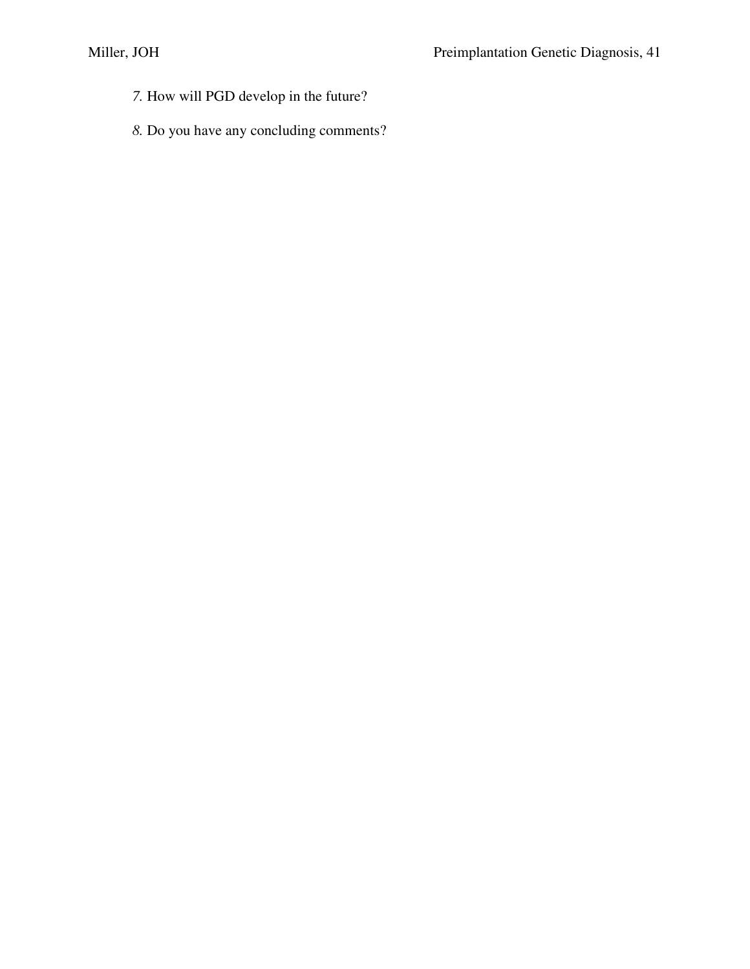- *7.* How will PGD develop in the future?
- *8.* Do you have any concluding comments?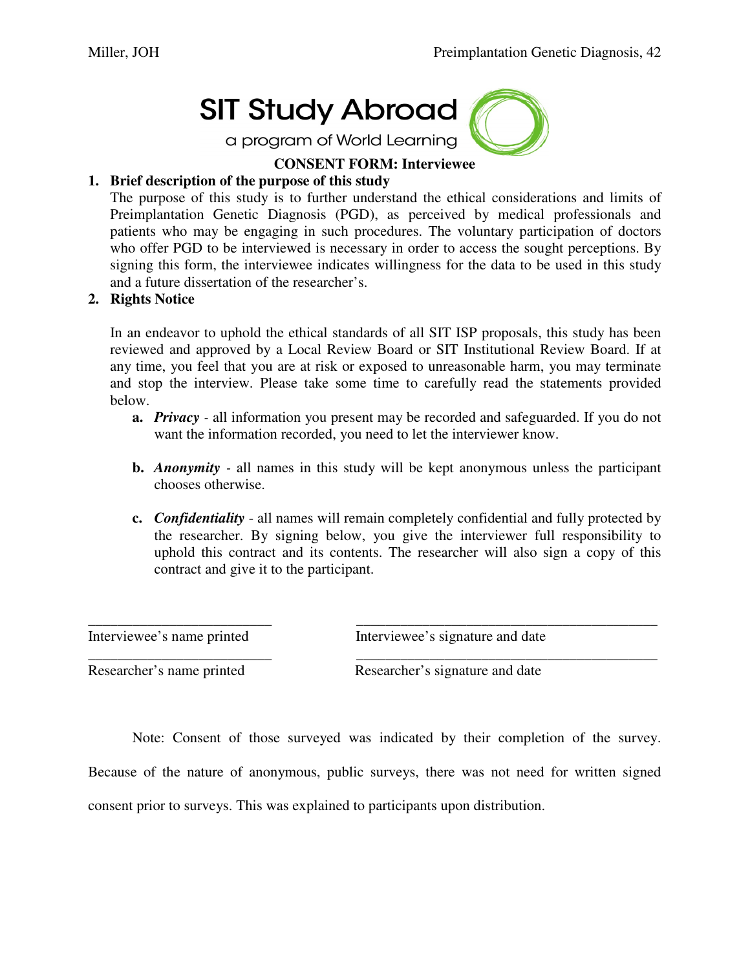# **SIT Study Abroad**

a program of World Learning



# **CONSENT FORM: Interviewee**

# **1. Brief description of the purpose of this study**

The purpose of this study is to further understand the ethical considerations and limits of Preimplantation Genetic Diagnosis (PGD), as perceived by medical professionals and patients who may be engaging in such procedures. The voluntary participation of doctors who offer PGD to be interviewed is necessary in order to access the sought perceptions. By signing this form, the interviewee indicates willingness for the data to be used in this study and a future dissertation of the researcher's.

# **2. Rights Notice**

In an endeavor to uphold the ethical standards of all SIT ISP proposals, this study has been reviewed and approved by a Local Review Board or SIT Institutional Review Board. If at any time, you feel that you are at risk or exposed to unreasonable harm, you may terminate and stop the interview. Please take some time to carefully read the statements provided below.

- **a.** *Privacy* all information you present may be recorded and safeguarded. If you do not want the information recorded, you need to let the interviewer know.
- **b.** *Anonymity* all names in this study will be kept anonymous unless the participant chooses otherwise.
- **c.** *Confidentiality*  all names will remain completely confidential and fully protected by the researcher. By signing below, you give the interviewer full responsibility to uphold this contract and its contents. The researcher will also sign a copy of this contract and give it to the participant.

Interviewee's name printed Interviewee's signature and date

Researcher's name printed Researcher's signature and date

 Note: Consent of those surveyed was indicated by their completion of the survey. Because of the nature of anonymous, public surveys, there was not need for written signed

\_\_\_\_\_\_\_\_\_\_\_\_\_\_\_\_\_\_\_\_\_\_\_\_\_ \_\_\_\_\_\_\_\_\_\_\_\_\_\_\_\_\_\_\_\_\_\_\_\_\_\_\_\_\_\_\_\_\_\_\_\_\_\_\_\_\_

\_\_\_\_\_\_\_\_\_\_\_\_\_\_\_\_\_\_\_\_\_\_\_\_\_ \_\_\_\_\_\_\_\_\_\_\_\_\_\_\_\_\_\_\_\_\_\_\_\_\_\_\_\_\_\_\_\_\_\_\_\_\_\_\_\_\_

consent prior to surveys. This was explained to participants upon distribution.